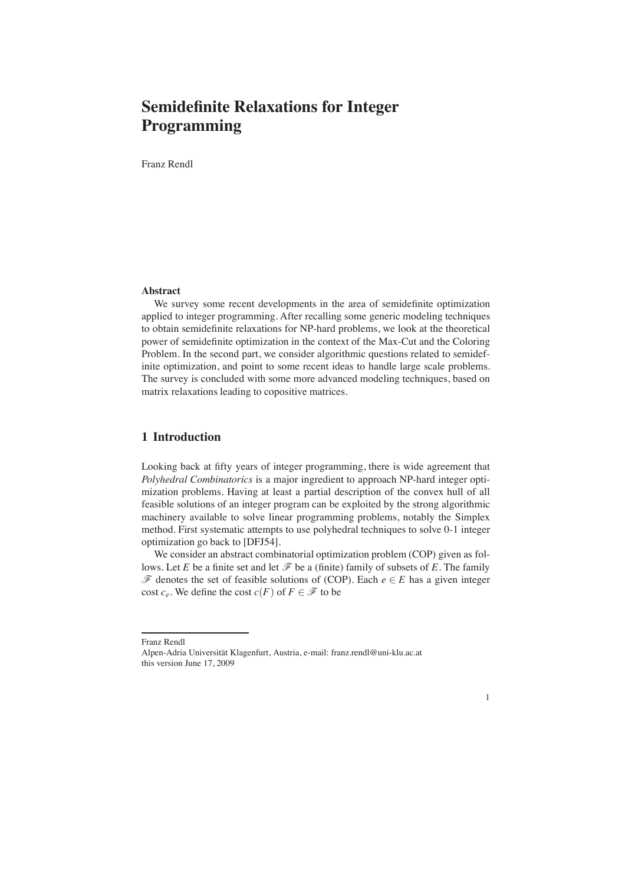Franz Rendl

# **Abstract**

We survey some recent developments in the area of semidefinite optimization applied to integer programming. After recalling some generic modeling techniques to obtain semidefinite relaxations for NP-hard problems, we look at the theoretical power of semidefinite optimization in the context of the Max-Cut and the Coloring Problem. In the second part, we consider algorithmic questions related to semidefinite optimization, and point to some recent ideas to handle large scale problems. The survey is concluded with some more advanced modeling techniques, based on matrix relaxations leading to copositive matrices.

# **1 Introduction**

Looking back at fifty years of integer programming, there is wide agreement that *Polyhedral Combinatorics* is a major ingredient to approach NP-hard integer optimization problems. Having at least a partial description of the convex hull of all feasible solutions of an integer program can be exploited by the strong algorithmic machinery available to solve linear programming problems, notably the Simplex method. First systematic attempts to use polyhedral techniques to solve 0-1 integer optimization go back to [DFJ54].

We consider an abstract combinatorial optimization problem (COP) given as follows. Let *E* be a finite set and let  $\mathcal F$  be a (finite) family of subsets of *E*. The family <sup>F</sup> denotes the set of feasible solutions of (COP). Each *<sup>e</sup>* <sup>∈</sup> *<sup>E</sup>* has a given integer cost  $c_e$ . We define the cost  $c(F)$  of  $F \in \mathscr{F}$  to be



Franz Rendl

Alpen-Adria Universität Klagenfurt, Austria, e-mail: franz.rendl@uni-klu.ac.at this version June 17, 2009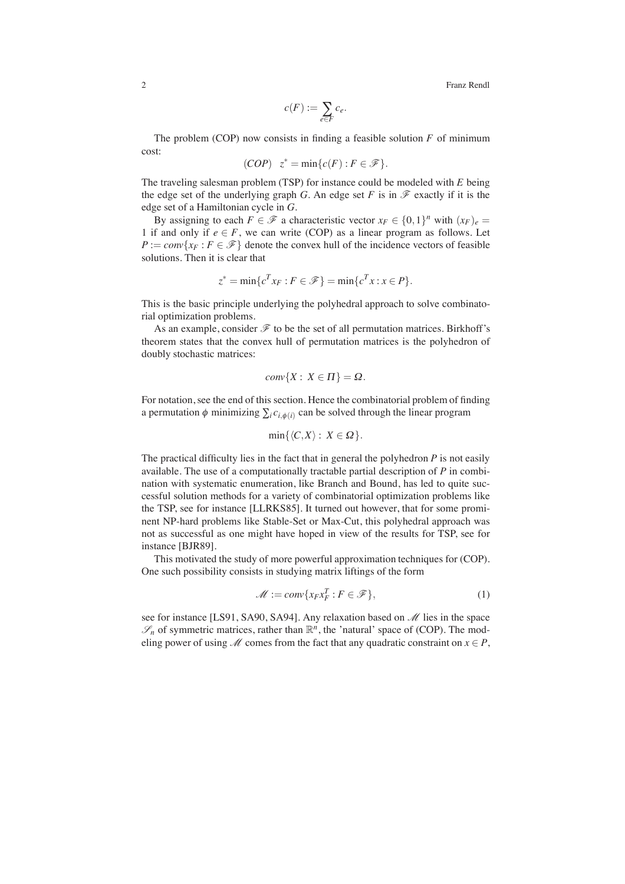$$
c(F) := \sum_{e \in F} c_e.
$$

The problem (COP) now consists in finding a feasible solution  $F$  of minimum cost:

(COP) 
$$
z^* = \min\{c(F) : F \in \mathcal{F}\}.
$$

The traveling salesman problem (TSP) for instance could be modeled with *E* being the edge set of the underlying graph *G*. An edge set *F* is in  $\mathscr F$  exactly if it is the edge set of a Hamiltonian cycle in *G*.

By assigning to each  $F \in \mathcal{F}$  a characteristic vector  $x_F \in \{0,1\}^n$  with  $(x_F)_e =$ 1 if and only if  $e \in F$ , we can write (COP) as a linear program as follows. Let  $P := conv\{x_F : F \in \mathcal{F}\}\$  denote the convex hull of the incidence vectors of feasible solutions. Then it is clear that

$$
z^* = \min\{c^T x_F : F \in \mathcal{F}\} = \min\{c^T x : x \in P\}.
$$

This is the basic principle underlying the polyhedral approach to solve combinatorial optimization problems.

As an example, consider  $\mathscr F$  to be the set of all permutation matrices. Birkhoff's theorem states that the convex hull of permutation matrices is the polyhedron of doubly stochastic matrices:

$$
conv\{X:\, X\in\Pi\}=\Omega.
$$

For notation, see the end of this section. Hence the combinatorial problem of finding a permutation  $\phi$  minimizing  $\sum_i c_{i,\phi(i)}$  can be solved through the linear program

$$
\min\{\langle C,X\rangle:\, X\in\Omega\}.
$$

The practical difficulty lies in the fact that in general the polyhedron *P* is not easily available. The use of a computationally tractable partial description of *P* in combination with systematic enumeration, like Branch and Bound, has led to quite successful solution methods for a variety of combinatorial optimization problems like the TSP, see for instance [LLRKS85]. It turned out however, that for some prominent NP-hard problems like Stable-Set or Max-Cut, this polyhedral approach was not as successful as one might have hoped in view of the results for TSP, see for instance [BJR89].

This motivated the study of more powerful approximation techniques for (COP). One such possibility consists in studying matrix liftings of the form

$$
\mathcal{M} := \text{conv}\{x_F x_F^T : F \in \mathcal{F}\},\tag{1}
$$

see for instance [LS91, SA90, SA94]. Any relaxation based on  $\mathcal M$  lies in the space  $\mathscr{S}_n$  of symmetric matrices, rather than  $\mathbb{R}^n$ , the 'natural' space of (COP). The modeling power of using  $M$  comes from the fact that any quadratic constraint on  $x \in P$ ,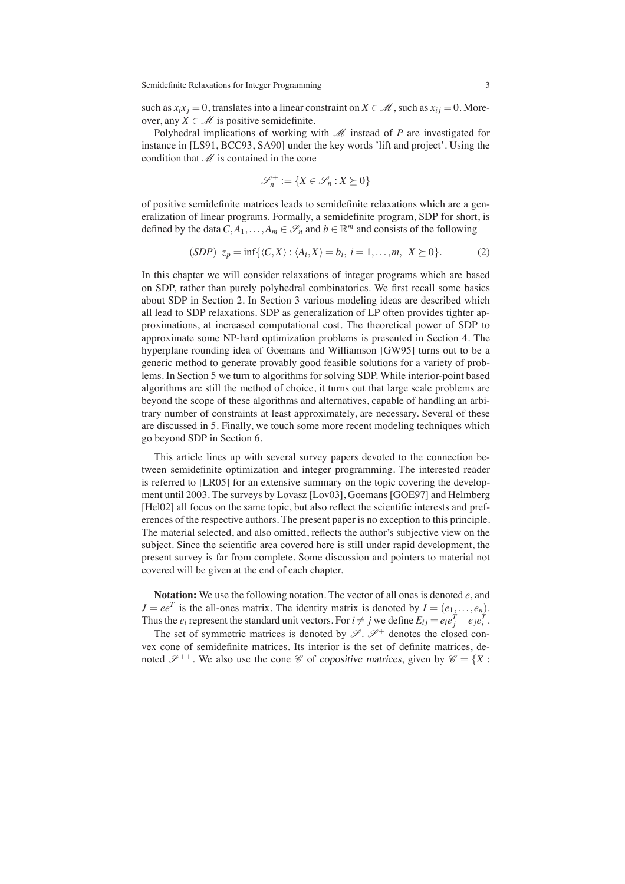such as  $x_i x_j = 0$ , translates into a linear constraint on  $X \in \mathcal{M}$ , such as  $x_{ij} = 0$ . Moreover, any  $X \in \mathcal{M}$  is positive semidefinite.

Polyhedral implications of working with  $M$  instead of  $P$  are investigated for instance in [LS91, BCC93, SA90] under the key words 'lift and project'. Using the condition that  $M$  is contained in the cone

$$
\mathcal{S}_n^+ := \{ X \in \mathcal{S}_n : X \succeq 0 \}
$$

of positive semidefinite matrices leads to semidefinite relaxations which are a generalization of linear programs. Formally, a semidefinite program, SDP for short, is defined by the data  $C, A_1, \ldots, A_m \in \mathcal{S}_n$  and  $b \in \mathbb{R}^m$  and consists of the following

$$
(SDP) zp = inf{ $\langle C, X \rangle : \langle A_i, X \rangle = b_i, i = 1, ..., m, X \ge 0$ }.
$$
 (2)

In this chapter we will consider relaxations of integer programs which are based on SDP, rather than purely polyhedral combinatorics. We first recall some basics about SDP in Section 2. In Section 3 various modeling ideas are described which all lead to SDP relaxations. SDP as generalization of LP often provides tighter approximations, at increased computational cost. The theoretical power of SDP to approximate some NP-hard optimization problems is presented in Section 4. The hyperplane rounding idea of Goemans and Williamson [GW95] turns out to be a generic method to generate provably good feasible solutions for a variety of problems. In Section 5 we turn to algorithms for solving SDP. While interior-point based algorithms are still the method of choice, it turns out that large scale problems are beyond the scope of these algorithms and alternatives, capable of handling an arbitrary number of constraints at least approximately, are necessary. Several of these are discussed in 5. Finally, we touch some more recent modeling techniques which go beyond SDP in Section 6.

This article lines up with several survey papers devoted to the connection between semidefinite optimization and integer programming. The interested reader is referred to [LR05] for an extensive summary on the topic covering the development until 2003. The surveys by Lovasz [Lov03], Goemans [GOE97] and Helmberg [Hel02] all focus on the same topic, but also reflect the scientific interests and preferences of the respective authors. The present paper is no exception to this principle. The material selected, and also omitted, reflects the author's subjective view on the subject. Since the scientific area covered here is still under rapid development, the present survey is far from complete. Some discussion and pointers to material not covered will be given at the end of each chapter.

**Notation:** We use the following notation. The vector of all ones is denoted *e*, and  $J = ee^T$  is the all-ones matrix. The identity matrix is denoted by  $I = (e_1, \ldots, e_n)$ . Thus the  $e_i$  represent the standard unit vectors. For  $i \neq j$  we define  $E_{ij} = e_i e_j^T + e_j e_i^T$ .

The set of symmetric matrices is denoted by  $\mathscr{S}$ .  $\mathscr{S}^+$  denotes the closed convex cone of semidefinite matrices. Its interior is the set of definite matrices, denoted  $\mathscr{S}^{++}$ . We also use the cone  $\mathscr{C}$  of copositive matrices, given by  $\mathscr{C} = \{X :$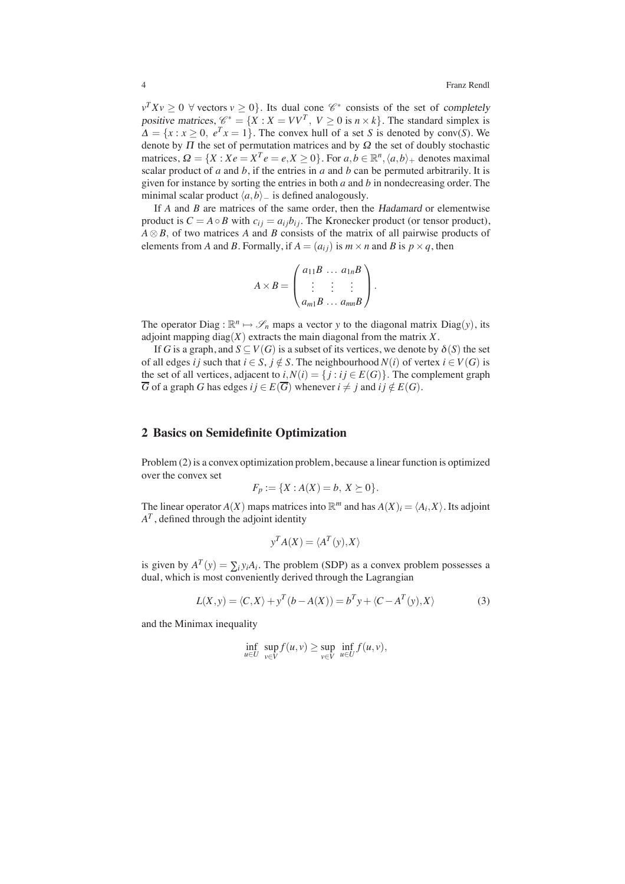$v^T X v \geq 0$   $\forall$  vectors  $v \geq 0$ . Its dual cone  $\mathscr{C}^*$  consists of the set of completely positive matrices,  $\mathcal{C}^* = \{X : X = VV^T, V \ge 0 \text{ is } n \times k\}$ . The standard simplex is  $\Delta = \{x : x \ge 0, e^T x = 1\}$ . The convex hull of a set *S* is denoted by conv(*S*). We denote by  $\Pi$  the set of permutation matrices and by  $\Omega$  the set of doubly stochastic matrices,  $\Omega = \{X : Xe = X^Te = e, X \ge 0\}$ . For  $a, b \in \mathbb{R}^n, \langle a, b \rangle_+$  denotes maximal scalar product of *a* and *b*, if the entries in *a* and *b* can be permuted arbitrarily. It is given for instance by sorting the entries in both *a* and *b* in nondecreasing order. The minimal scalar product  $\langle a,b \rangle$ <sub>−</sub> is defined analogously.

If *A* and *B* are matrices of the same order, then the Hadamard or elementwise product is  $C = A \circ B$  with  $c_{ij} = a_{ij}b_{ij}$ . The Kronecker product (or tensor product), *A* ⊗ *B*, of two matrices *A* and *B* consists of the matrix of all pairwise products of elements from *A* and *B*. Formally, if  $A = (a_{ij})$  is  $m \times n$  and *B* is  $p \times q$ , then

$$
A \times B = \begin{pmatrix} a_{11}B & \dots & a_{1n}B \\ \vdots & \vdots & \vdots \\ a_{m1}B & \dots & a_{mn}B \end{pmatrix}.
$$

The operator Diag :  $\mathbb{R}^n \mapsto \mathscr{S}_n$  maps a vector *y* to the diagonal matrix Diag(*y*), its adjoint mapping diag $(X)$  extracts the main diagonal from the matrix  $X$ .

If *G* is a graph, and  $S \subseteq V(G)$  is a subset of its vertices, we denote by  $\delta(S)$  the set of all edges *i* j such that  $i \in S$ ,  $j \notin S$ . The neighbourhood  $N(i)$  of vertex  $i \in V(G)$  is the set of all vertices, adjacent to  $i, N(i) = \{j : i j \in E(G)\}\$ . The complement graph  $\overline{G}$  of a graph *G* has edges  $i j \in E(\overline{G})$  whenever  $i \neq j$  and  $i j \notin E(G)$ .

# **2 Basics on Semidefinite Optimization**

Problem (2) is a convex optimization problem, because a linear function is optimized over the convex set

$$
F_p := \{ X : A(X) = b, X \succeq 0 \}.
$$

The linear operator  $A(X)$  maps matrices into  $\mathbb{R}^m$  and has  $A(X)_i = \langle A_i, X \rangle$ . Its adjoint  $A<sup>T</sup>$ , defined through the adjoint identity

$$
y^T A(X) = \langle A^T(y), X \rangle
$$

is given by  $A^T(y) = \sum_i y_i A_i$ . The problem (SDP) as a convex problem possesses a dual, which is most conveniently derived through the Lagrangian

$$
L(X, y) = \langle C, X \rangle + y^T (b - A(X)) = b^T y + \langle C - A^T(y), X \rangle
$$
 (3)

and the Minimax inequality

$$
\inf_{u \in U} \sup_{v \in V} f(u,v) \ge \sup_{v \in V} \inf_{u \in U} f(u,v),
$$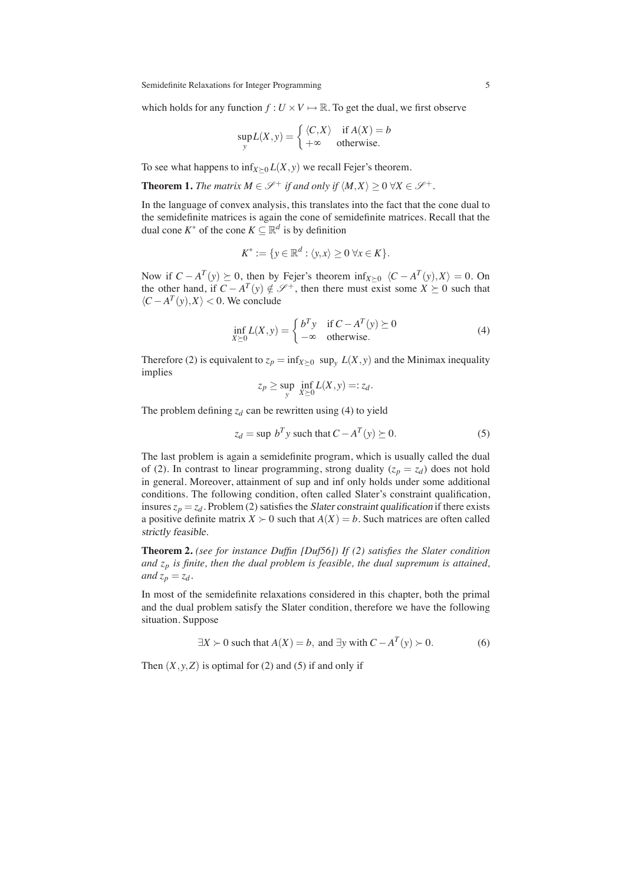which holds for any function  $f: U \times V \mapsto \mathbb{R}$ . To get the dual, we first observe

$$
\sup_{y} L(X, y) = \begin{cases} \langle C, X \rangle & \text{if } A(X) = b \\ +\infty & \text{otherwise.} \end{cases}
$$

To see what happens to  $\inf_{X \succ 0} L(X, y)$  we recall Fejer's theorem.

**Theorem 1.** *The matrix*  $M \in \mathcal{S}^+$  *if and only if*  $\langle M, X \rangle \geq 0 \ \forall X \in \mathcal{S}^+$ .

In the language of convex analysis, this translates into the fact that the cone dual to the semidefinite matrices is again the cone of semidefinite matrices. Recall that the dual cone  $K^*$  of the cone  $K \subseteq \mathbb{R}^d$  is by definition

$$
K^* := \{ y \in \mathbb{R}^d : \langle y, x \rangle \ge 0 \,\forall x \in K \}.
$$

Now if  $C - A^T(y) \succeq 0$ , then by Fejer's theorem inf<sub>*X*≻0</sub>  $\langle C - A^T(y), X \rangle = 0$ . On the other hand, if  $C - A^T(y) \notin \mathcal{S}^+$ , then there must exist some  $X \succeq 0$  such that  $\langle C - A^T(v), X \rangle < 0$ . We conclude

$$
\inf_{X \succeq 0} L(X, y) = \begin{cases} b^T y & \text{if } C - A^T(y) \succeq 0 \\ -\infty & \text{otherwise.} \end{cases}
$$
\n(4)

Therefore (2) is equivalent to  $z_p = \inf_{X \succeq 0} \sup_y L(X, y)$  and the Minimax inequality implies

$$
z_p \ge \sup_{y} \inf_{X \succeq 0} L(X, y) =: z_d.
$$

The problem defining  $z_d$  can be rewritten using (4) to yield

$$
z_d = \sup b^T y \text{ such that } C - A^T(y) \succeq 0. \tag{5}
$$

The last problem is again a semidefinite program, which is usually called the dual of (2). In contrast to linear programming, strong duality  $(z_p = z_d)$  does not hold in general. Moreover, attainment of sup and inf only holds under some additional conditions. The following condition, often called Slater's constraint qualification, insures  $z_p = z_d$ . Problem (2) satisfies the *Slater constraint qualification* if there exists a positive definite matrix  $X \succ 0$  such that  $A(X) = b$ . Such matrices are often called strictly feasible.

**Theorem 2.** *(see for instance Duffin [Duf56]) If (2) satisfies the Slater condition and zp is finite, then the dual problem is feasible, the dual supremum is attained, and*  $z_p = z_d$ .

In most of the semidefinite relaxations considered in this chapter, both the primal and the dual problem satisfy the Slater condition, therefore we have the following situation. Suppose

$$
\exists X \succ 0 \text{ such that } A(X) = b, \text{ and } \exists y \text{ with } C - A^T(y) \succ 0. \tag{6}
$$

Then  $(X, y, Z)$  is optimal for (2) and (5) if and only if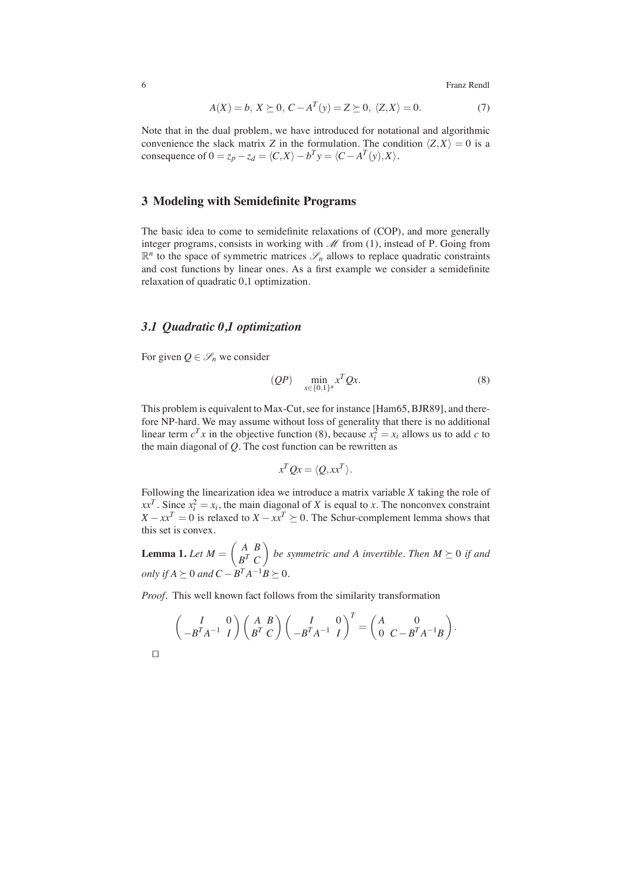$$
A(X) = b, X \succeq 0, C - A^T(y) = Z \succeq 0, \langle Z, X \rangle = 0.
$$
 (7)

Note that in the dual problem, we have introduced for notational and algorithmic convenience the slack matrix *Z* in the formulation. The condition  $\langle Z, X \rangle = 0$  is a consequence of  $0 = z_p - z_d = \langle C, X \rangle - b^T y = \langle C - A^T(y), X \rangle$ .

# **3 Modeling with Semidefinite Programs**

The basic idea to come to semidefinite relaxations of (COP), and more generally integer programs, consists in working with  $\mathcal M$  from (1), instead of P. Going from  $\mathbb{R}^n$  to the space of symmetric matrices  $\mathscr{S}_n$  allows to replace quadratic constraints and cost functions by linear ones. As a first example we consider a semidefinite relaxation of quadratic 0,1 optimization.

# *3.1 Quadratic 0,1 optimization*

For given  $Q \in \mathscr{S}_n$  we consider

$$
(QP) \quad \min_{x \in \{0,1\}^n} x^T Q x. \tag{8}
$$

This problem is equivalent to Max-Cut, see for instance [Ham65, BJR89], and therefore NP-hard. We may assume without loss of generality that there is no additional linear term  $c^T x$  in the objective function (8), because  $x_i^2 = x_i$  allows us to add *c* to the main diagonal of *Q*. The cost function can be rewritten as

$$
x^T Q x = \langle Q, xx^T \rangle.
$$

Following the linearization idea we introduce a matrix variable *X* taking the role of  $xx^T$ . Since  $x_i^2 = x_i$ , the main diagonal of *X* is equal to *x*. The nonconvex constraint *X* − *xx*<sup>*T*</sup> = 0 is relaxed to *X* − *xx*<sup>*T*</sup>  $\geq$  0. The Schur-complement lemma shows that this set is convex.

**Lemma 1.** Let  $M = \begin{pmatrix} A & B \\ D & C \end{pmatrix}$ *B<sup>T</sup> C be symmetric and A invertible. Then*  $M \succeq 0$  *if and only if*  $A \succeq 0$  *and*  $C - B^T A^{-1} B \succeq 0$ *.* 

*Proof.* This well known fact follows from the similarity transformation

$$
\begin{pmatrix} I & 0 \ -B^T A^{-1} & I \end{pmatrix} \begin{pmatrix} A & B \ B^T & C \end{pmatrix} \begin{pmatrix} I & 0 \ -B^T A^{-1} & I \end{pmatrix}^T = \begin{pmatrix} A & 0 \ 0 & C - B^T A^{-1} B \end{pmatrix}.
$$

 $\Box$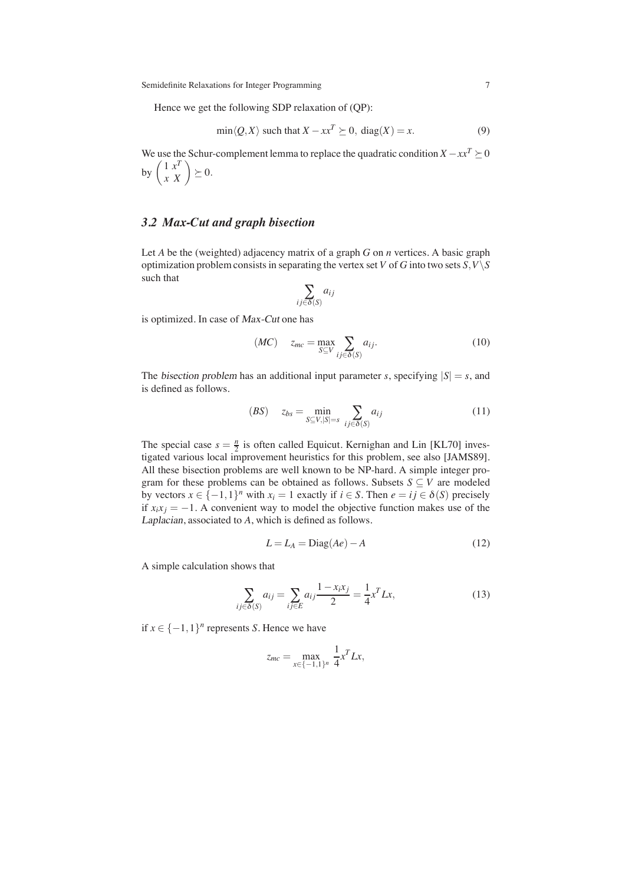Hence we get the following SDP relaxation of (QP):

$$
\min \langle Q, X \rangle \text{ such that } X - xx^T \succeq 0, \text{ diag}(X) = x. \tag{9}
$$

We use the Schur-complement lemma to replace the quadratic condition  $X - xx^T \succeq 0$ by  $\begin{pmatrix} 1 & x^T \\ x & X \end{pmatrix} \succeq 0.$ 

# *3.2 Max-Cut and graph bisection*

Let *A* be the (weighted) adjacency matrix of a graph *G* on *n* vertices. A basic graph optimization problem consists in separating the vertex set *V* of *G* into two sets  $S, V \setminus S$ such that

$$
\sum_{ij \in \delta(S)} a_{ij}
$$

is optimized. In case of Max-Cut one has

$$
(MC) \t z_{mc} = \max_{S \subseteq V} \sum_{ij \in \delta(S)} a_{ij}.
$$
\n(10)

The bisection problem has an additional input parameter *s*, specifying  $|S| = s$ , and is defined as follows.

$$
(BS) \t zbs = \min_{S \subseteq V, |S|=s} \sum_{ij \in \delta(S)} a_{ij}
$$
\n(11)

The special case  $s = \frac{n}{2}$  is often called Equicut. Kernighan and Lin [KL70] investigated various local improvement heuristics for this problem, see also [JAMS89]. All these bisection problems are well known to be NP-hard. A simple integer program for these problems can be obtained as follows. Subsets  $S \subseteq V$  are modeled by vectors  $x \in \{-1,1\}^n$  with  $x_i = 1$  exactly if  $i \in S$ . Then  $e = ij \in \delta(S)$  precisely if  $x_i x_j = -1$ . A convenient way to model the objective function makes use of the Laplacian, associated to *A*, which is defined as follows.

$$
L = L_A = \text{Diag}(Ae) - A \tag{12}
$$

A simple calculation shows that

$$
\sum_{ij \in \delta(S)} a_{ij} = \sum_{ij \in E} a_{ij} \frac{1 - x_i x_j}{2} = \frac{1}{4} x^T L x,\tag{13}
$$

if *x* ∈ {−1,1}<sup>*n*</sup> represents *S*. Hence we have

$$
z_{mc} = \max_{x \in \{-1,1\}^n} \frac{1}{4} x^T L x,
$$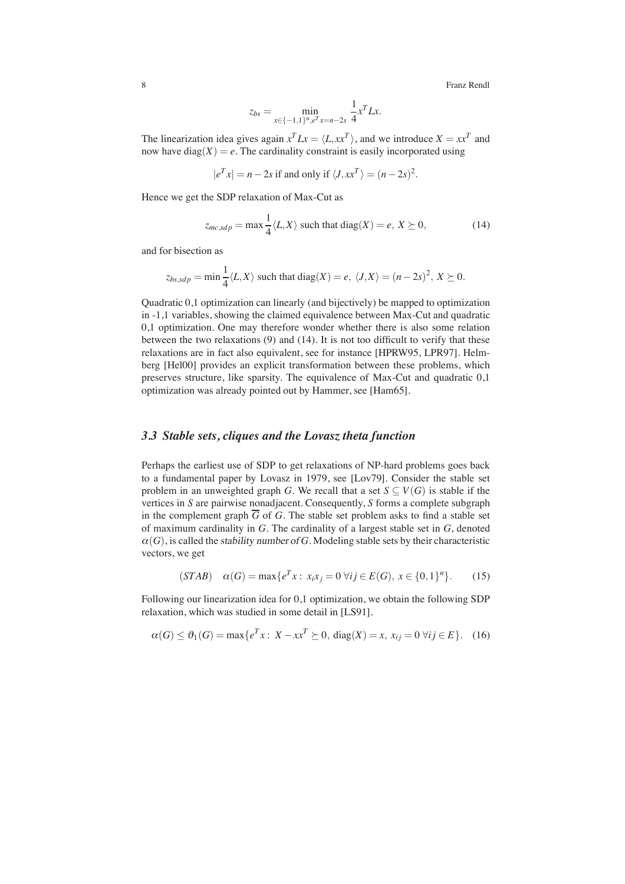$$
z_{bs} = \min_{x \in \{-1, 1\}^n, e^T x = n - 2s} \frac{1}{4} x^T L x.
$$

The linearization idea gives again  $x^T Lx = \langle L, xx^T \rangle$ , and we introduce  $X = xx^T$  and now have diag( $X$ ) =  $e$ . The cardinality constraint is easily incorporated using

$$
|e^T x| = n - 2s
$$
 if and only if  $\langle J, xx^T \rangle = (n - 2s)^2$ .

Hence we get the SDP relaxation of Max-Cut as

$$
z_{mc,sdp} = \max \frac{1}{4} \langle L, X \rangle \text{ such that } \text{diag}(X) = e, \ X \succeq 0,
$$
 (14)

and for bisection as

$$
z_{bs, sdp} = \min \frac{1}{4} \langle L, X \rangle \text{ such that } \text{diag}(X) = e, \ \langle J, X \rangle = (n - 2s)^2, \ X \succeq 0.
$$

Quadratic 0,1 optimization can linearly (and bijectively) be mapped to optimization in -1,1 variables, showing the claimed equivalence between Max-Cut and quadratic 0,1 optimization. One may therefore wonder whether there is also some relation between the two relaxations (9) and (14). It is not too difficult to verify that these relaxations are in fact also equivalent, see for instance [HPRW95, LPR97]. Helmberg [Hel00] provides an explicit transformation between these problems, which preserves structure, like sparsity. The equivalence of Max-Cut and quadratic 0,1 optimization was already pointed out by Hammer, see [Ham65].

# *3.3 Stable sets, cliques and the Lovasz theta function*

Perhaps the earliest use of SDP to get relaxations of NP-hard problems goes back to a fundamental paper by Lovasz in 1979, see [Lov79]. Consider the stable set problem in an unweighted graph *G*. We recall that a set  $S \subseteq V(G)$  is stable if the vertices in *S* are pairwise nonadjacent. Consequently, *S* forms a complete subgraph in the complement graph  $\overline{G}$  of *G*. The stable set problem asks to find a stable set of maximum cardinality in *G*. The cardinality of a largest stable set in *G*, denoted  $\alpha(G)$ , is called the *stability number of G*. Modeling stable sets by their characteristic vectors, we get

$$
(STAB) \quad \alpha(G) = \max\{e^T x : x_i x_j = 0 \,\forall i j \in E(G), \, x \in \{0,1\}^n\}. \tag{15}
$$

Following our linearization idea for 0,1 optimization, we obtain the following SDP relaxation, which was studied in some detail in [LS91].

$$
\alpha(G) \le \vartheta_1(G) = \max\{e^T x : X - x x^T \ge 0, \text{ diag}(X) = x, x_{ij} = 0 \,\forall ij \in E\}. \tag{16}
$$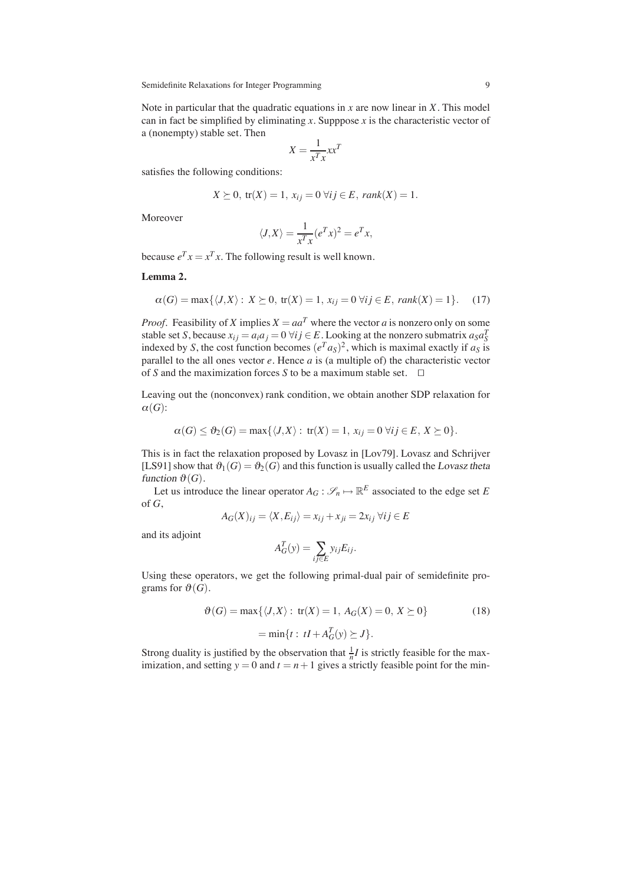Note in particular that the quadratic equations in *x* are now linear in *X*. This model can in fact be simplified by eliminating  $x$ . Supppose  $x$  is the characteristic vector of a (nonempty) stable set. Then

$$
X = \frac{1}{x^T x} x x^T
$$

satisfies the following conditions:

$$
X \succeq 0, \operatorname{tr}(X) = 1, x_{ij} = 0 \,\forall ij \in E, \operatorname{rank}(X) = 1.
$$

Moreover

$$
\langle J, X \rangle = \frac{1}{x^T x} (e^T x)^2 = e^T x,
$$

because  $e^T x = x^T x$ . The following result is well known.

**Lemma 2.**

$$
\alpha(G) = \max\{\langle J, X \rangle : X \succeq 0, \operatorname{tr}(X) = 1, x_{ij} = 0 \,\forall ij \in E, \operatorname{rank}(X) = 1\}. \tag{17}
$$

*Proof.* Feasibility of *X* implies  $X = aa^T$  where the vector *a* is nonzero only on some stable set *S*, because  $x_{ij} = a_i a_j = 0 \,\forall ij \in E$ . Looking at the nonzero submatrix  $a_S a_S^T$ stable set *S*, because  $x_{ij} = a_i a_j = 0$  vi  $j \in E$ . Looking at the holizero submatrix  $a_S a_S$  is indexed by *S*, the cost function becomes  $(e^T a_S)^2$ , which is maximal exactly if  $a_S$  is parallel to the all ones vector *e*. Hence *a* is (a multiple of) the characteristic vector of *S* and the maximization forces *S* to be a maximum stable set.  $\square$ 

Leaving out the (nonconvex) rank condition, we obtain another SDP relaxation for  $\alpha(G)$ :

$$
\alpha(G) \leq \vartheta_2(G) = \max\{\langle J,X\rangle: \operatorname{tr}(X) = 1, x_{ij} = 0 \,\forall ij \in E, X \succeq 0\}.
$$

This is in fact the relaxation proposed by Lovasz in [Lov79]. Lovasz and Schrijver [LS91] show that  $\vartheta_1(G) = \vartheta_2(G)$  and this function is usually called the Lovasz theta function  $\vartheta(G)$ .

Let us introduce the linear operator  $A_G : \mathcal{S}_n \mapsto \mathbb{R}^E$  associated to the edge set *E* of *G*,

$$
A_G(X)_{ij} = \langle X, E_{ij} \rangle = x_{ij} + x_{ji} = 2x_{ij} \,\forall ij \in E
$$

and its adjoint

$$
A_G^T(y) = \sum_{ij \in E} y_{ij} E_{ij}.
$$

*AT*

Using these operators, we get the following primal-dual pair of semidefinite programs for  $\vartheta(G)$ .

$$
\vartheta(G) = \max\{\langle J, X \rangle : \text{tr}(X) = 1, A_G(X) = 0, X \succeq 0\}
$$
\n
$$
= \min\{t : tI + A_G^T(y) \succeq J\}.
$$
\n(18)

Strong duality is justified by the observation that  $\frac{1}{n}I$  is strictly feasible for the maximization, and setting  $y = 0$  and  $t = n + 1$  gives a strictly feasible point for the min-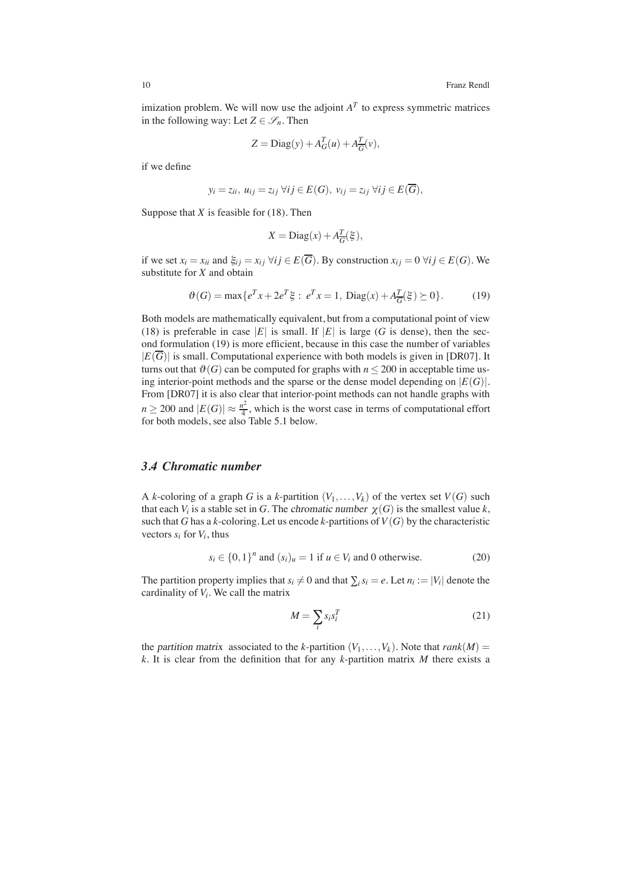imization problem. We will now use the adjoint  $A<sup>T</sup>$  to express symmetric matrices in the following way: Let  $Z \in \mathcal{S}_n$ . Then

$$
Z = \text{Diag}(y) + A_G^T(u) + A_{\overline{G}}^T(v),
$$

if we define

$$
y_i = z_{ii}, u_{ij} = z_{ij} \ \forall ij \in E(G), \ v_{ij} = z_{ij} \ \forall ij \in E(\overline{G}),
$$

Suppose that *X* is feasible for (18). Then

$$
X = \text{Diag}(x) + A_{\overline{G}}^{\overline{T}}(\xi),
$$

if we set  $x_i = x_{ii}$  and  $\xi_{ij} = x_{ij}$   $\forall ij \in E(\overline{G})$ . By construction  $x_{ij} = 0$   $\forall ij \in E(G)$ . We substitute for *X* and obtain

$$
\vartheta(G) = \max\{e^T x + 2e^T \xi : e^T x = 1, \text{Diag}(x) + A_{\overline{G}}^T(\xi) \ge 0\}.
$$
 (19)

Both models are mathematically equivalent, but from a computational point of view (18) is preferable in case |*E*| is small. If  $|E|$  is large (*G* is dense), then the second formulation (19) is more efficient, because in this case the number of variables  $|E(\overline{G})|$  is small. Computational experience with both models is given in [DR07]. It turns out that  $\vartheta(G)$  can be computed for graphs with  $n \leq 200$  in acceptable time using interior-point methods and the sparse or the dense model depending on  $|E(G)|$ . From [DR07] it is also clear that interior-point methods can not handle graphs with  $n \ge 200$  and  $|E(G)| \approx \frac{n^2}{4}$ , which is the worst case in terms of computational effort for both models, see also Table 5.1 below.

# *3.4 Chromatic number*

A *k*-coloring of a graph *G* is a *k*-partition  $(V_1, \ldots, V_k)$  of the vertex set  $V(G)$  such that each  $V_i$  is a stable set in *G*. The *chromatic number*  $\chi(G)$  is the smallest value *k*, such that *G* has a *k*-coloring. Let us encode *k*-partitions of  $V(G)$  by the characteristic vectors  $s_i$  for  $V_i$ , thus

$$
s_i \in \{0,1\}^n \text{ and } (s_i)_u = 1 \text{ if } u \in V_i \text{ and } 0 \text{ otherwise.}
$$
 (20)

The partition property implies that  $s_i \neq 0$  and that  $\sum_i s_i = e$ . Let  $n_i := |V_i|$  denote the cardinality of *Vi*. We call the matrix

$$
M = \sum_{i} s_i s_i^T \tag{21}
$$

the partition matrix associated to the *k*-partition  $(V_1, \ldots, V_k)$ . Note that *rank* $(M)$  = *k*. It is clear from the definition that for any *k*-partition matrix *M* there exists a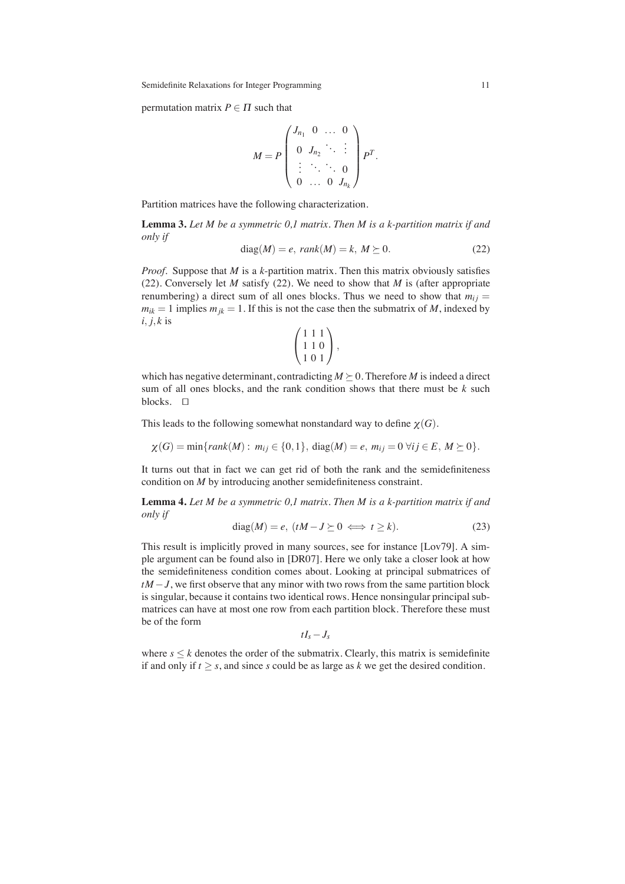permutation matrix  $P \in \Pi$  such that

$$
M = P \begin{pmatrix} J_{n_1} & 0 & \dots & 0 \\ 0 & J_{n_2} & \ddots & \vdots \\ \vdots & \ddots & \ddots & 0 \\ 0 & \dots & 0 & J_{n_k} \end{pmatrix} P^T.
$$

Partition matrices have the following characterization.

**Lemma 3.** *Let M be a symmetric 0,1 matrix. Then M is a k-partition matrix if and only if*

$$
diag(M) = e, rank(M) = k, M \succeq 0.
$$
 (22)

*Proof.* Suppose that *M* is a *k*-partition matrix. Then this matrix obviously satisfies (22). Conversely let *M* satisfy (22). We need to show that *M* is (after appropriate renumbering) a direct sum of all ones blocks. Thus we need to show that  $m_{ij} =$  $m_{ik} = 1$  implies  $m_{ik} = 1$ . If this is not the case then the submatrix of *M*, indexed by *i*, *j*,*k* is

$$
\left(\begin{array}{c}1\ 1\ 1 \\ 1\ 1\ 0 \\ 1\ 0\ 1\end{array}\right),
$$

which has negative determinant, contradicting  $M \geq 0$ . Therefore *M* is indeed a direct sum of all ones blocks, and the rank condition shows that there must be *k* such blocks.  $\square$ 

This leads to the following somewhat nonstandard way to define  $\chi(G)$ .

$$
\chi(G) = \min\{rank(M) : m_{ij} \in \{0, 1\}, \, \text{diag}(M) = e, \, m_{ij} = 0 \, \forall i j \in E, \, M \geq 0\}.
$$

It turns out that in fact we can get rid of both the rank and the semidefiniteness condition on *M* by introducing another semidefiniteness constraint.

**Lemma 4.** *Let M be a symmetric 0,1 matrix. Then M is a k-partition matrix if and only if*

$$
diag(M) = e, \ (tM - J \succeq 0 \iff t \ge k). \tag{23}
$$

This result is implicitly proved in many sources, see for instance [Lov79]. A simple argument can be found also in [DR07]. Here we only take a closer look at how the semidefiniteness condition comes about. Looking at principal submatrices of *tM* − *J*, we first observe that any minor with two rows from the same partition block is singular, because it contains two identical rows. Hence nonsingular principal submatrices can have at most one row from each partition block. Therefore these must be of the form

 $tI_s - J_s$ 

where  $s \leq k$  denotes the order of the submatrix. Clearly, this matrix is semidefinite if and only if  $t \geq s$ , and since *s* could be as large as *k* we get the desired condition.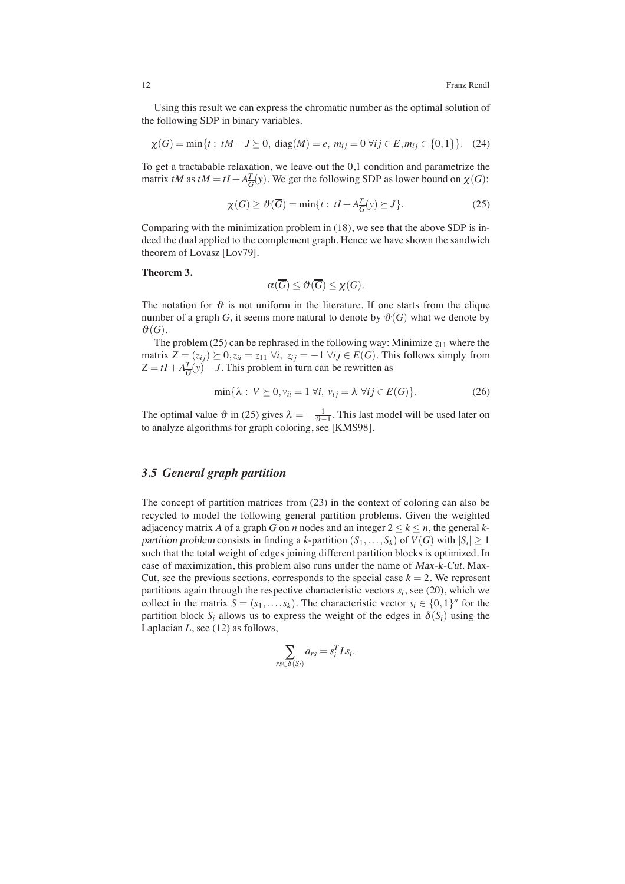Using this result we can express the chromatic number as the optimal solution of the following SDP in binary variables.

$$
\chi(G) = \min\{t : tM - J \succeq 0, \text{ diag}(M) = e, m_{ij} = 0 \,\forall ij \in E, m_{ij} \in \{0, 1\}\}. (24)
$$

To get a tractabable relaxation, we leave out the 0,1 condition and parametrize the matrix *tM* as  $tM = tI + A\frac{T}{G}(y)$ . We get the following SDP as lower bound on  $\chi(G)$ :

$$
\chi(G) \ge \vartheta(\overline{G}) = \min\{t : tI + A_{\overline{G}}^T(y) \ge J\}.
$$
 (25)

Comparing with the minimization problem in (18), we see that the above SDP is indeed the dual applied to the complement graph. Hence we have shown the sandwich theorem of Lovasz [Lov79].

#### **Theorem 3.**

$$
\alpha(\overline{G}) \le \vartheta(\overline{G}) \le \chi(G).
$$

The notation for  $\vartheta$  is not uniform in the literature. If one starts from the clique number of a graph *G*, it seems more natural to denote by  $\vartheta(G)$  what we denote by  $\vartheta(\overline{G})$ .

The problem  $(25)$  can be rephrased in the following way: Minimize  $z_{11}$  where the matrix  $Z = (z_{ij}) \succeq 0, z_{ii} = z_{11} \; \forall i, \; z_{ij} = -1 \; \forall ij \in E(G)$ . This follows simply from  $Z = tI + A\frac{T}{G}(y) - J$ . This problem in turn can be rewritten as

$$
\min\{\lambda : V \succeq 0, v_{ii} = 1 \,\forall i, \, v_{ij} = \lambda \,\forall ij \in E(G)\}.
$$
 (26)

The optimal value  $\vartheta$  in (25) gives  $\lambda = -\frac{1}{\vartheta - 1}$ . This last model will be used later on to analyze algorithms for graph coloring, see [KMS98].

# *3.5 General graph partition*

The concept of partition matrices from (23) in the context of coloring can also be recycled to model the following general partition problems. Given the weighted adjacency matrix *A* of a graph *G* on *n* nodes and an integer  $2 \le k \le n$ , the general *k*partition problem consists in finding a *k*-partition  $(S_1, \ldots, S_k)$  of  $V(G)$  with  $|S_i| \geq 1$ such that the total weight of edges joining different partition blocks is optimized. In case of maximization, this problem also runs under the name of Max-k-Cut. Max-Cut, see the previous sections, corresponds to the special case  $k = 2$ . We represent partitions again through the respective characteristic vectors  $s_i$ , see (20), which we collect in the matrix  $S = (s_1, \ldots, s_k)$ . The characteristic vector  $s_i \in \{0,1\}^n$  for the partition block  $S_i$  allows us to express the weight of the edges in  $\delta(S_i)$  using the Laplacian *L*, see (12) as follows,

$$
\sum_{rs\in\delta(S_i)}a_{rs}=s_i^T L s_i.
$$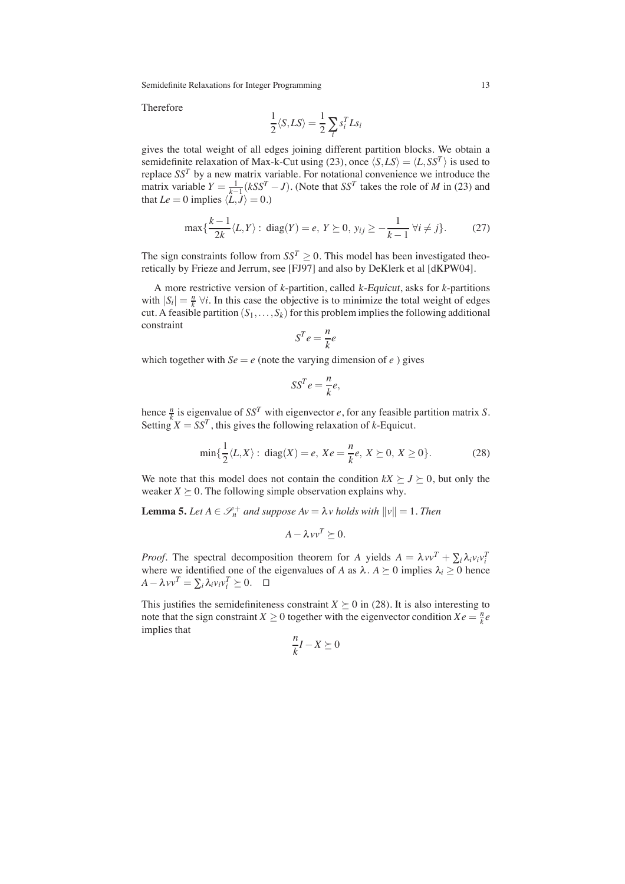Therefore

$$
\frac{1}{2}\langle S,LS\rangle=\frac{1}{2}\sum_{i}s_{i}^{T}Ls_{i}
$$

gives the total weight of all edges joining different partition blocks. We obtain a semidefinite relaxation of Max-k-Cut using (23), once  $\langle S, LS \rangle = \langle L, SS^T \rangle$  is used to replace  $SS<sup>T</sup>$  by a new matrix variable. For notational convenience we introduce the matrix variable  $Y = \frac{1}{k-1} (kSS^T - J)$ . (Note that  $SS^T$  takes the role of *M* in (23) and that  $Le = 0$  implies  $\langle L, J \rangle = 0$ .)

$$
\max\{\frac{k-1}{2k}\langle L, Y \rangle : \text{ diag}(Y) = e, Y \succeq 0, y_{ij} \ge -\frac{1}{k-1} \,\forall i \ne j\}.
$$
 (27)

The sign constraints follow from  $SS^T \geq 0$ . This model has been investigated theoretically by Frieze and Jerrum, see [FJ97] and also by DeKlerk et al [dKPW04].

A more restrictive version of *k*-partition, called k-Equicut, asks for *k*-partitions with  $|S_i| = \frac{n}{k} \forall i$ . In this case the objective is to minimize the total weight of edges cut. A feasible partition  $(S_1, \ldots, S_k)$  for this problem implies the following additional constraint

$$
S^T e = \frac{n}{k} e
$$

which together with  $Se = e$  (note the varying dimension of  $e$ ) gives

$$
SS^T e = \frac{n}{k} e,
$$

hence  $\frac{n}{k}$  is eigenvalue of *SS<sup>T</sup>* with eigenvector *e*, for any feasible partition matrix *S*. Setting  $X = SS^T$ , this gives the following relaxation of *k*-Equicut.

$$
\min\{\frac{1}{2}\langle L, X \rangle : \text{ diag}(X) = e, \ Xe = \frac{n}{k}e, \ X \succeq 0, \ X \ge 0\}. \tag{28}
$$

We note that this model does not contain the condition  $kX \succeq J \succeq 0$ , but only the weaker  $X \succeq 0$ . The following simple observation explains why.

**Lemma 5.** Let  $A \in \mathcal{S}_n^+$  and suppose  $Av = \lambda v$  holds with  $||v|| = 1$ . Then

$$
A - \lambda vv^T \succeq 0.
$$

*Proof.* The spectral decomposition theorem for *A* yields  $A = \lambda vv^{T} + \sum_{i} \lambda_{i}v_{i}v_{i}^{T}$ where we identified one of the eigenvalues of *A* as  $\lambda$ .  $A \succeq 0$  implies  $\lambda_i \geq 0$  hence  $A - \lambda vv^T = \sum_i \lambda_i v_i v_i^T \succeq 0.$  □

This justifies the semidefiniteness constraint  $X \geq 0$  in (28). It is also interesting to note that the sign constraint *X*  $\geq$  0 together with the eigenvector condition *X e* =  $\frac{n}{k}e$ implies that

$$
\frac{n}{k}I - X \succeq 0
$$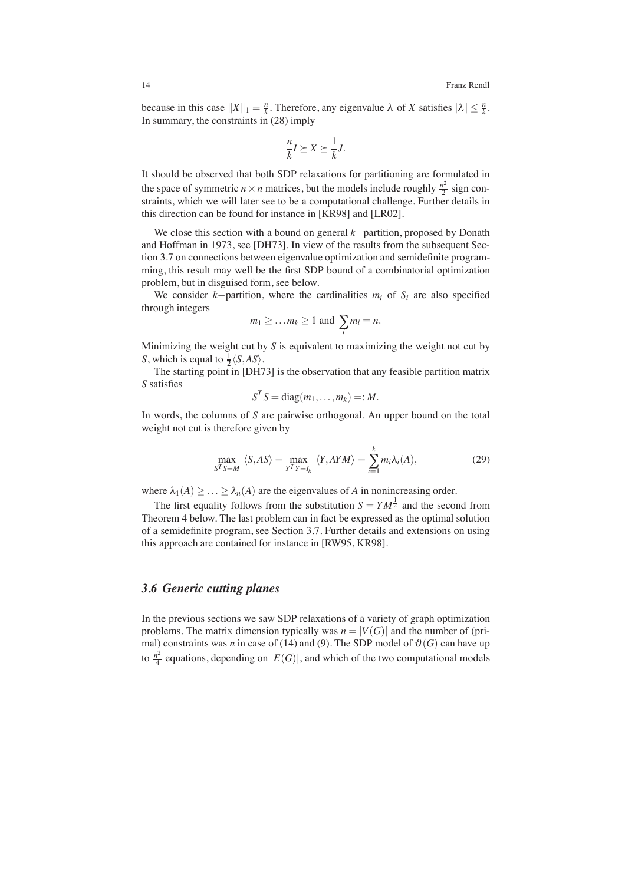because in this case  $||X||_1 = \frac{n}{k}$ . Therefore, any eigenvalue  $\lambda$  of *X* satisfies  $|\lambda| \leq \frac{n}{k}$ . In summary, the constraints in (28) imply

$$
\frac{n}{k}I \succeq X \succeq \frac{1}{k}J.
$$

It should be observed that both SDP relaxations for partitioning are formulated in the space of symmetric  $n \times n$  matrices, but the models include roughly  $\frac{n^2}{2}$  sign constraints, which we will later see to be a computational challenge. Further details in this direction can be found for instance in [KR98] and [LR02].

We close this section with a bound on general *k*−partition, proposed by Donath and Hoffman in 1973, see [DH73]. In view of the results from the subsequent Section 3.7 on connections between eigenvalue optimization and semidefinite programming, this result may well be the first SDP bound of a combinatorial optimization problem, but in disguised form, see below.

We consider  $k$ −partition, where the cardinalities  $m_i$  of  $S_i$  are also specified through integers

$$
m_1 \geq \ldots m_k \geq 1
$$
 and  $\sum_i m_i = n$ .

Minimizing the weight cut by *S* is equivalent to maximizing the weight not cut by *S*, which is equal to  $\frac{1}{2}\langle S, AS \rangle$ .

The starting point in [DH73] is the observation that any feasible partition matrix *S* satisfies

$$
S^T S = \text{diag}(m_1, \ldots, m_k) =: M.
$$

In words, the columns of *S* are pairwise orthogonal. An upper bound on the total weight not cut is therefore given by

$$
\max_{S^T S = M} \langle S, AS \rangle = \max_{Y^T Y = I_k} \langle Y, A Y M \rangle = \sum_{i=1}^k m_i \lambda_i(A), \tag{29}
$$

where  $\lambda_1(A) \geq \ldots \geq \lambda_n(A)$  are the eigenvalues of *A* in nonincreasing order.

The first equality follows from the substitution  $S = YM^{\frac{1}{2}}$  and the second from Theorem 4 below. The last problem can in fact be expressed as the optimal solution of a semidefinite program, see Section 3.7. Further details and extensions on using this approach are contained for instance in [RW95, KR98].

#### *3.6 Generic cutting planes*

In the previous sections we saw SDP relaxations of a variety of graph optimization problems. The matrix dimension typically was  $n = |V(G)|$  and the number of (primal) constraints was *n* in case of (14) and (9). The SDP model of  $\vartheta(G)$  can have up to  $\frac{n^2}{4}$  equations, depending on  $|E(G)|$ , and which of the two computational models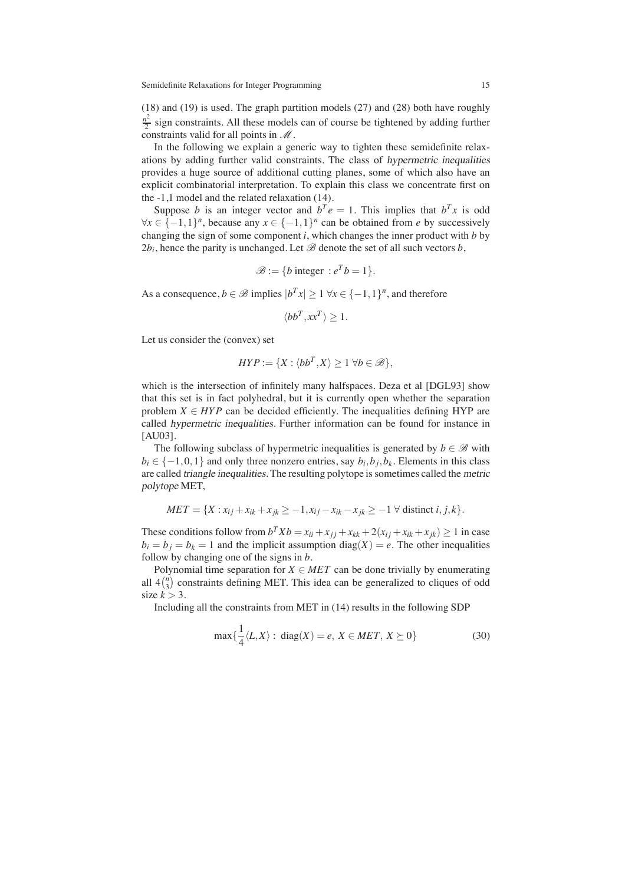(18) and (19) is used. The graph partition models (27) and (28) both have roughly  $\frac{n^2}{2}$  sign constraints. All these models can of course be tightened by adding further constraints valid for all points in  $\mathcal M$ .

In the following we explain a generic way to tighten these semidefinite relaxations by adding further valid constraints. The class of hypermetric inequalities provides a huge source of additional cutting planes, some of which also have an explicit combinatorial interpretation. To explain this class we concentrate first on the -1,1 model and the related relaxation (14).

Suppose *b* is an integer vector and  $b^T e = 1$ . This implies that  $b^T x$  is odd  $∀x ∈ {-1,1}^n$ , because any  $x ∈ {-1,1}^n$  can be obtained from *e* by successively changing the sign of some component *i*, which changes the inner product with *b* by  $2b_i$ , hence the parity is unchanged. Let  $\mathscr B$  denote the set of all such vectors  $b$ ,

$$
\mathscr{B} := \{b \text{ integer} : e^T b = 1\}.
$$

As a consequence,  $b \in \mathcal{B}$  implies  $|b^T x| > 1 \forall x \in \{-1,1\}^n$ , and therefore

$$
\langle bb^T, xx^T \rangle \ge 1.
$$

Let us consider the (convex) set

$$
HYP := \{ X : \langle bb^T, X \rangle \ge 1 \,\forall b \in \mathscr{B} \},
$$

which is the intersection of infinitely many halfspaces. Deza et al [DGL93] show that this set is in fact polyhedral, but it is currently open whether the separation problem  $X \in HYP$  can be decided efficiently. The inequalities defining HYP are called hypermetric inequalities. Further information can be found for instance in [AU03].

The following subclass of hypermetric inequalities is generated by  $b \in \mathcal{B}$  with  $b_i \in \{-1,0,1\}$  and only three nonzero entries, say  $b_i, b_j, b_k$ . Elements in this class are called triangle inequalities. The resulting polytope is sometimes called the metric polytope MET,

$$
MET = \{X: x_{ij} + x_{ik} + x_{jk} \ge -1, x_{ij} - x_{ik} - x_{jk} \ge -1 \ \forall \ \text{distinct } i, j, k\}.
$$

These conditions follow from  $b^T X b = x_{ii} + x_{jj} + x_{kk} + 2(x_{ij} + x_{ik} + x_{jk}) \ge 1$  in case  $b_i = b_j = b_k = 1$  and the implicit assumption diag(*X*) = *e*. The other inequalities follow by changing one of the signs in *b*.

Polynomial time separation for  $X \in MET$  can be done trivially by enumerating all  $4\binom{n}{3}$  constraints defining MET. This idea can be generalized to cliques of odd size  $k > 3$ .

Including all the constraints from MET in (14) results in the following SDP

$$
\max\{\frac{1}{4}\langle L, X \rangle : \text{ diag}(X) = e, X \in MET, X \succeq 0\}
$$
 (30)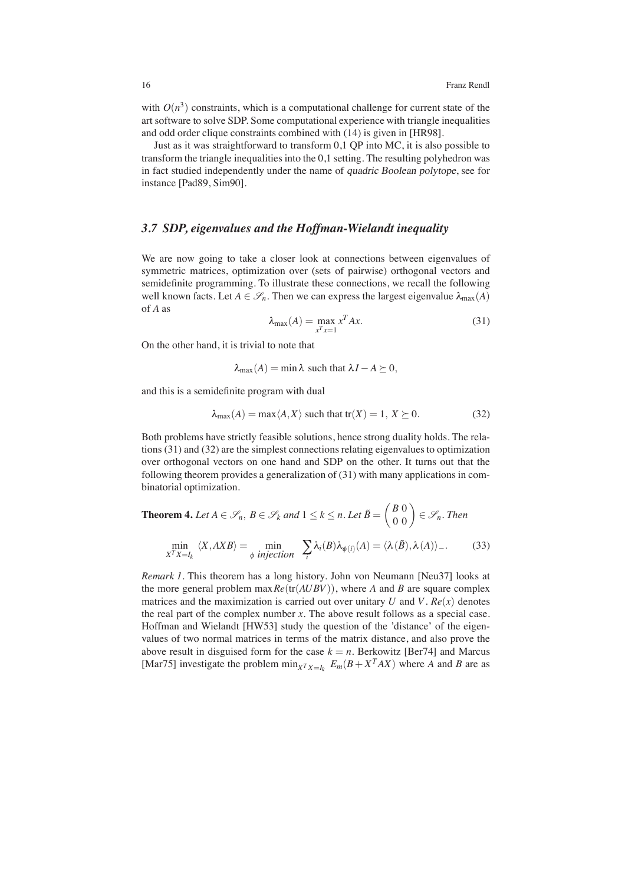with  $O(n^3)$  constraints, which is a computational challenge for current state of the art software to solve SDP. Some computational experience with triangle inequalities and odd order clique constraints combined with (14) is given in [HR98].

Just as it was straightforward to transform 0,1 QP into MC, it is also possible to transform the triangle inequalities into the 0,1 setting. The resulting polyhedron was in fact studied independently under the name of quadric Boolean polytope, see for instance [Pad89, Sim90].

# *3.7 SDP, eigenvalues and the Hoffman-Wielandt inequality*

We are now going to take a closer look at connections between eigenvalues of symmetric matrices, optimization over (sets of pairwise) orthogonal vectors and semidefinite programming. To illustrate these connections, we recall the following well known facts. Let  $A \in \mathcal{S}_n$ . Then we can express the largest eigenvalue  $\lambda_{\max}(A)$ of *A* as

$$
\lambda_{\max}(A) = \max_{x^T x = 1} x^T A x. \tag{31}
$$

On the other hand, it is trivial to note that

 $\lambda_{\max}(A) = \min \lambda$  such that  $\lambda I - A \succeq 0$ ,

and this is a semidefinite program with dual

$$
\lambda_{\max}(A) = \max \langle A, X \rangle \text{ such that } \text{tr}(X) = 1, \ X \succeq 0. \tag{32}
$$

Both problems have strictly feasible solutions, hence strong duality holds. The relations (31) and (32) are the simplest connections relating eigenvalues to optimization over orthogonal vectors on one hand and SDP on the other. It turns out that the following theorem provides a generalization of (31) with many applications in combinatorial optimization.

**Theorem 4.** Let  $A \in \mathscr{S}_n$ ,  $B \in \mathscr{S}_k$  and  $1 \leq k \leq n$ . Let  $\tilde{B} = \begin{pmatrix} B & 0 \\ 0 & 0 \end{pmatrix} \in \mathscr{S}_n$ . Then

$$
\min_{X^T X = I_k} \langle X, AXB \rangle = \min_{\phi \text{ injection}} \sum_{i} \lambda_i(B) \lambda_{\phi(i)}(A) = \langle \lambda(\tilde{B}), \lambda(A) \rangle \tag{33}
$$

*Remark 1.* This theorem has a long history. John von Neumann [Neu37] looks at the more general problem  $\max Re(\text{tr}(AUBV))$ , where *A* and *B* are square complex matrices and the maximization is carried out over unitary  $U$  and  $V$ .  $Re(x)$  denotes the real part of the complex number  $x$ . The above result follows as a special case. Hoffman and Wielandt [HW53] study the question of the 'distance' of the eigenvalues of two normal matrices in terms of the matrix distance, and also prove the above result in disguised form for the case  $k = n$ . Berkowitz [Ber74] and Marcus [Mar75] investigate the problem  $\min_{X^T X = I_k} E_m(B + X^T A X)$  where *A* and *B* are as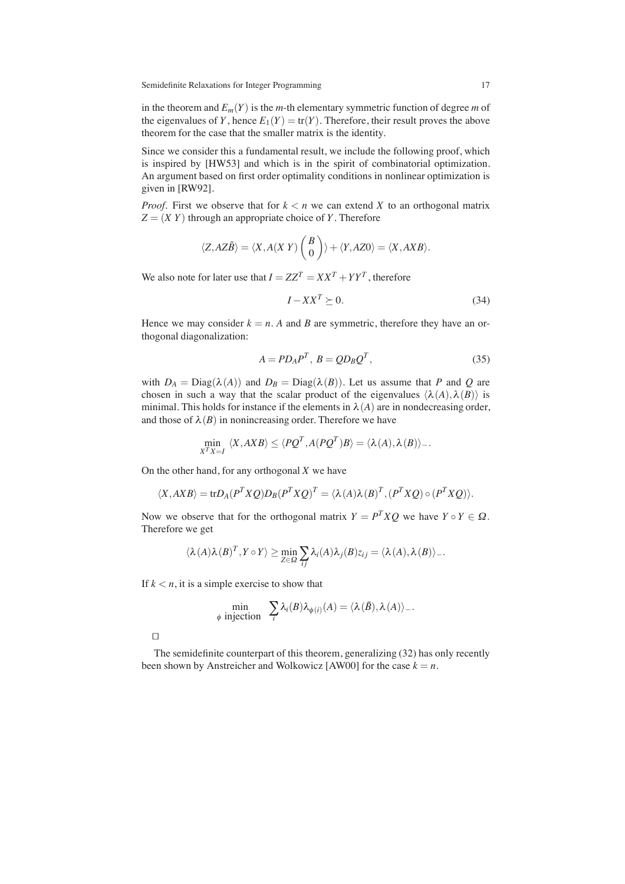in the theorem and  $E_m(Y)$  is the *m*-th elementary symmetric function of degree *m* of the eigenvalues of *Y*, hence  $E_1(Y) = \text{tr}(Y)$ . Therefore, their result proves the above theorem for the case that the smaller matrix is the identity.

Since we consider this a fundamental result, we include the following proof, which is inspired by [HW53] and which is in the spirit of combinatorial optimization. An argument based on first order optimality conditions in nonlinear optimization is given in [RW92].

*Proof.* First we observe that for  $k < n$  we can extend X to an orthogonal matrix  $Z = (XY)$  through an appropriate choice of *Y*. Therefore

$$
\langle Z, AZ\tilde{B} \rangle = \langle X, A(XY) \begin{pmatrix} B \\ 0 \end{pmatrix} \rangle + \langle Y, AZ0 \rangle = \langle X, AXB \rangle.
$$

We also note for later use that  $I = ZZ^T = XX^T + YY^T$ , therefore

$$
I - XX^T \succeq 0. \tag{34}
$$

Hence we may consider  $k = n$ . A and B are symmetric, therefore they have an orthogonal diagonalization:

$$
A = PD_A P^T, B = QD_B Q^T,
$$
\n(35)

with  $D_A = \text{Diag}(\lambda(A))$  and  $D_B = \text{Diag}(\lambda(B))$ . Let us assume that *P* and *Q* are chosen in such a way that the scalar product of the eigenvalues  $\langle \lambda(A), \lambda(B) \rangle$  is minimal. This holds for instance if the elements in  $\lambda(A)$  are in nondecreasing order, and those of  $\lambda(B)$  in nonincreasing order. Therefore we have

$$
\min_{X^T X = I} \langle X, AXB \rangle \le \langle PQ^T, A(PQ^T)B \rangle = \langle \lambda(A), \lambda(B) \rangle.
$$

On the other hand, for any orthogonal *X* we have

$$
\langle X, AXB \rangle = tr D_A (P^T X Q) D_B (P^T X Q)^T = \langle \lambda(A) \lambda(B)^T, (P^T X Q) \circ (P^T X Q) \rangle.
$$

Now we observe that for the orthogonal matrix  $Y = P^T X Q$  we have  $Y \circ Y \in \Omega$ . Therefore we get

$$
\langle \lambda(A)\lambda(B)^T, Y\circ Y\rangle \geq \min_{Z\in\Omega} \sum_{ij} \lambda_i(A)\lambda_j(B)z_{ij} = \langle \lambda(A), \lambda(B)\rangle_{-}.
$$

If  $k < n$ , it is a simple exercise to show that

$$
\min_{\phi \text{ injection}} \sum_{i} \lambda_i(B) \lambda_{\phi(i)}(A) = \langle \lambda(\tilde{B}), \lambda(A) \rangle_{-}.
$$

 $\Box$ 

The semidefinite counterpart of this theorem, generalizing (32) has only recently been shown by Anstreicher and Wolkowicz [AW00] for the case  $k = n$ .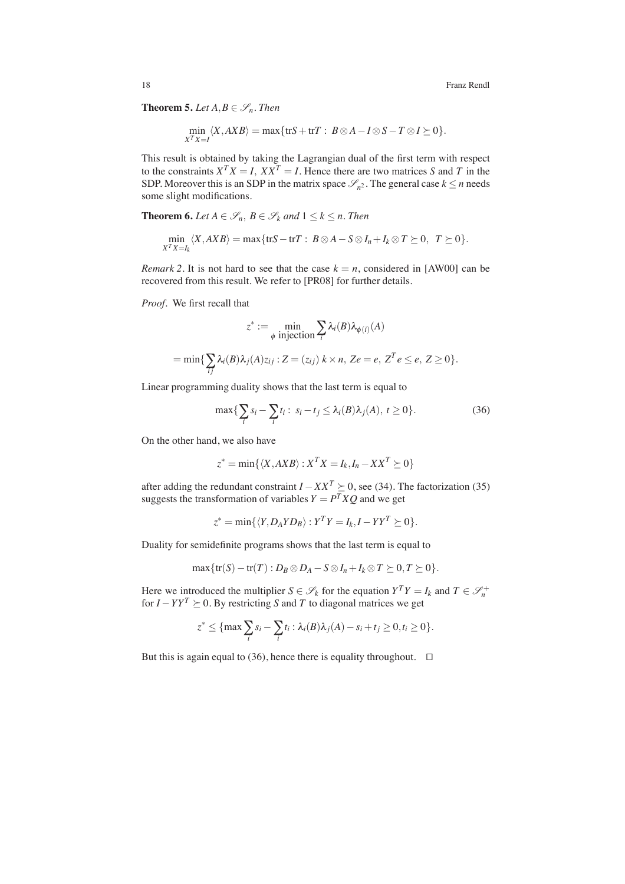**Theorem 5.** *Let*  $A, B \in \mathcal{S}_n$ *. Then* 

$$
\min_{X^T X = I} \langle X, AXB \rangle = \max \{ \operatorname{tr} S + \operatorname{tr} T : B \otimes A - I \otimes S - T \otimes I \succeq 0 \}.
$$

This result is obtained by taking the Lagrangian dual of the first term with respect to the constraints  $X^T X = I$ ,  $X X^T = I$ . Hence there are two matrices S and T in the SDP. Moreover this is an SDP in the matrix space  $\mathscr{S}_n^2$ . The general case  $k \leq n$  needs some slight modifications.

**Theorem 6.** *Let*  $A \in \mathcal{S}_n$ ,  $B \in \mathcal{S}_k$  *and*  $1 \leq k \leq n$ *. Then* 

$$
\min_{X^T X = I_k} \langle X, AXB \rangle = \max \{ \text{tr}S - \text{tr}T : B \otimes A - S \otimes I_n + I_k \otimes T \succeq 0, T \succeq 0 \}.
$$

*Remark 2.* It is not hard to see that the case  $k = n$ , considered in [AW00] can be recovered from this result. We refer to [PR08] for further details.

*Proof.* We first recall that

$$
z^* := \min_{\phi \text{ injection}} \sum_i \lambda_i(B) \lambda_{\phi(i)}(A)
$$
  
= min{ $\sum_{ij} \lambda_i(B) \lambda_j(A) z_{ij} : Z = (z_{ij}) \ k \times n, Ze = e, Z^T e \le e, Z \ge 0}.$ 

Linear programming duality shows that the last term is equal to

$$
\max\{\sum_{i} s_i - \sum_{i} t_i : s_i - t_j \leq \lambda_i(B)\lambda_j(A), t \geq 0\}.
$$
 (36)

On the other hand, we also have

$$
z^* = \min\{\langle X, AXB \rangle : X^T X = I_k, I_n - X X^T \succeq 0\}
$$

after adding the redundant constraint  $I - XX^T \succeq 0$ , see (34). The factorization (35) suggests the transformation of variables  $Y = P^T X Q$  and we get

$$
z^* = \min\{\langle Y, D_A Y D_B \rangle : Y^T Y = I_k, I - Y Y^T \succeq 0\}.
$$

Duality for semidefinite programs shows that the last term is equal to

$$
\max\{\operatorname{tr}(S)-\operatorname{tr}(T):D_B\otimes D_A-S\otimes I_n+I_k\otimes T\geq 0,T\geq 0\}.
$$

Here we introduced the multiplier  $S \in \mathcal{S}_k$  for the equation  $Y^T Y = I_k$  and  $T \in \mathcal{S}_n^+$ for  $I - YY^T$   $\succeq$  0. By restricting *S* and *T* to diagonal matrices we get

$$
z^* \leq \{\max_i \sum_i s_i - \sum_i t_i : \lambda_i(B)\lambda_j(A) - s_i + t_j \geq 0, t_i \geq 0\}.
$$

But this is again equal to (36), hence there is equality throughout.  $\square$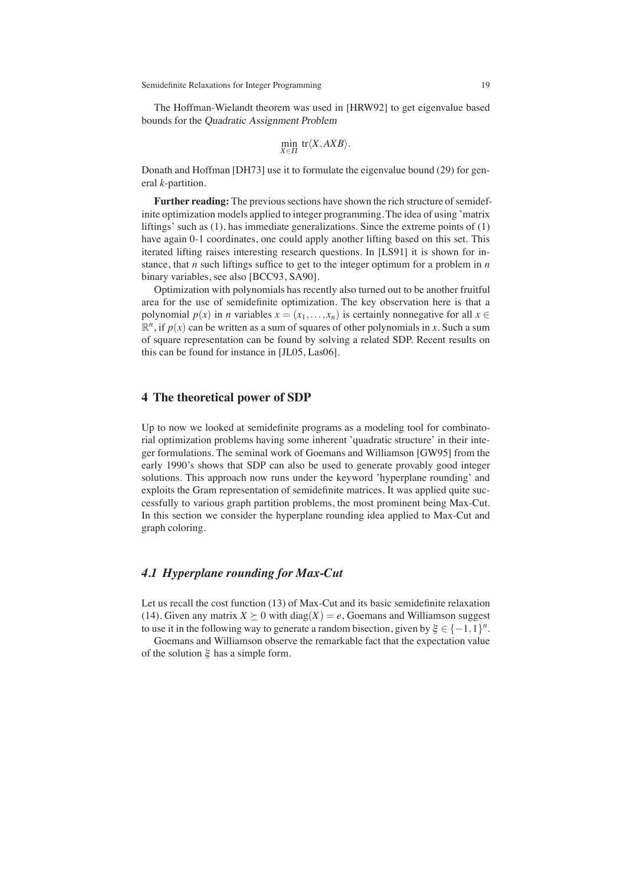The Hoffman-Wielandt theorem was used in [HRW92] to get eigenvalue based bounds for the Quadratic Assignment Problem

$$
\min_{X \in \Pi} \text{tr}\langle X, AXB \rangle.
$$

Donath and Hoffman [DH73] use it to formulate the eigenvalue bound (29) for general *k*-partition.

**Further reading:** The previous sections have shown the rich structure of semidefinite optimization models applied to integer programming. The idea of using 'matrix liftings' such as (1), has immediate generalizations. Since the extreme points of (1) have again 0-1 coordinates, one could apply another lifting based on this set. This iterated lifting raises interesting research questions. In [LS91] it is shown for instance, that *n* such liftings suffice to get to the integer optimum for a problem in *n* binary variables, see also [BCC93, SA90].

Optimization with polynomials has recently also turned out to be another fruitful area for the use of semidefinite optimization. The key observation here is that a polynomial  $p(x)$  in *n* variables  $x = (x_1, \ldots, x_n)$  is certainly nonnegative for all  $x \in$  $\mathbb{R}^n$ , if  $p(x)$  can be written as a sum of squares of other polynomials in *x*. Such a sum of square representation can be found by solving a related SDP. Recent results on this can be found for instance in [JL05, Las06].

# **4 The theoretical power of SDP**

Up to now we looked at semidefinite programs as a modeling tool for combinatorial optimization problems having some inherent 'quadratic structure' in their integer formulations. The seminal work of Goemans and Williamson [GW95] from the early 1990's shows that SDP can also be used to generate provably good integer solutions. This approach now runs under the keyword 'hyperplane rounding' and exploits the Gram representation of semidefinite matrices. It was applied quite successfully to various graph partition problems, the most prominent being Max-Cut. In this section we consider the hyperplane rounding idea applied to Max-Cut and graph coloring.

# *4.1 Hyperplane rounding for Max-Cut*

Let us recall the cost function (13) of Max-Cut and its basic semidefinite relaxation (14). Given any matrix  $X \succeq 0$  with diag( $X$ ) = e, Goemans and Williamson suggest to use it in the following way to generate a random bisection, given by  $\xi \in \{-1,1\}^n$ .

Goemans and Williamson observe the remarkable fact that the expectation value of the solution  $\xi$  has a simple form.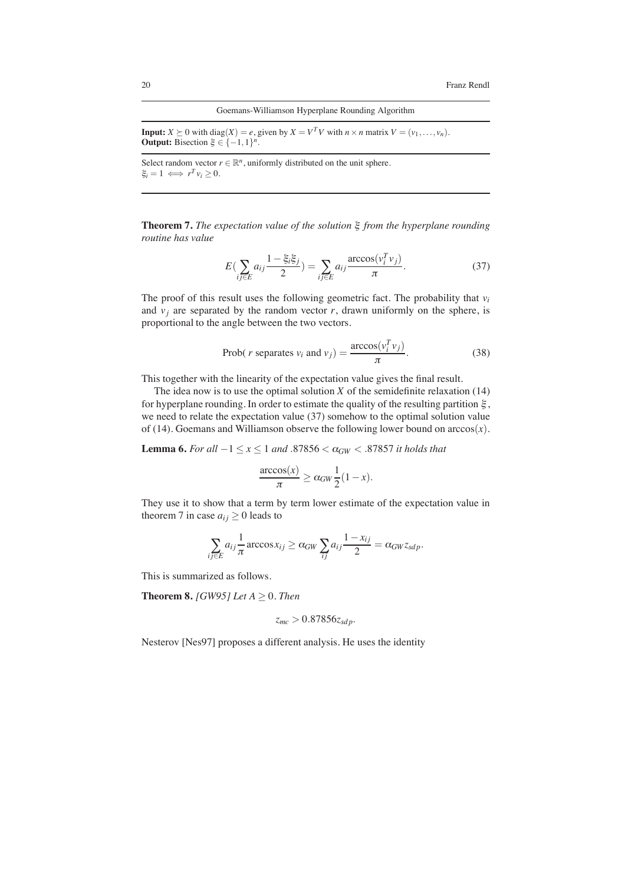#### Goemans-Williamson Hyperplane Rounding Algorithm

**Input:**  $X \succeq 0$  with diag( $X$ ) = *e*, given by  $X = V^T V$  with  $n \times n$  matrix  $V = (v_1, \ldots, v_n)$ . **Output:** Bisection  $\xi \in \{-1,1\}^n$ .

Select random vector  $r \in \mathbb{R}^n$ , uniformly distributed on the unit sphere.  $\xi_i = 1 \iff r^T v_i > 0.$ 

**Theorem 7.** *The expectation value of the solution* ξ *from the hyperplane rounding routine has value*

$$
E\left(\sum_{ij\in E} a_{ij} \frac{1 - \xi_i \xi_j}{2}\right) = \sum_{ij\in E} a_{ij} \frac{\arccos(v_i^T v_j)}{\pi}.
$$
 (37)

The proof of this result uses the following geometric fact. The probability that *vi* and  $v_j$  are separated by the random vector  $r$ , drawn uniformly on the sphere, is proportional to the angle between the two vectors.

$$
Prob(r \text{ separates } v_i \text{ and } v_j) = \frac{\arccos(v_i^T v_j)}{\pi}.
$$
 (38)

This together with the linearity of the expectation value gives the final result.

The idea now is to use the optimal solution  $X$  of the semidefinite relaxation (14) for hyperplane rounding. In order to estimate the quality of the resulting partition  $\xi$ , we need to relate the expectation value (37) somehow to the optimal solution value of (14). Goemans and Williamson observe the following lower bound on  $arccos(x)$ .

**Lemma 6.** *For all*  $-1 ≤ x ≤ 1$  *and* .87856 <  $α_{GW}$  < .87857 *it holds that* 

$$
\frac{\arccos(x)}{\pi} \ge \alpha_{GW} \frac{1}{2} (1 - x).
$$

They use it to show that a term by term lower estimate of the expectation value in theorem 7 in case  $a_{ij} \ge 0$  leads to

$$
\sum_{ij \in E} a_{ij} \frac{1}{\pi} \arccos x_{ij} \ge \alpha_{GW} \sum_{ij} a_{ij} \frac{1 - x_{ij}}{2} = \alpha_{GW} z_{sdp}.
$$

This is summarized as follows.

**Theorem 8.** *[GW95] Let A*  $\geq$  0*. Then* 

$$
z_{mc} > 0.87856 z_{sdp}.
$$

Nesterov [Nes97] proposes a different analysis. He uses the identity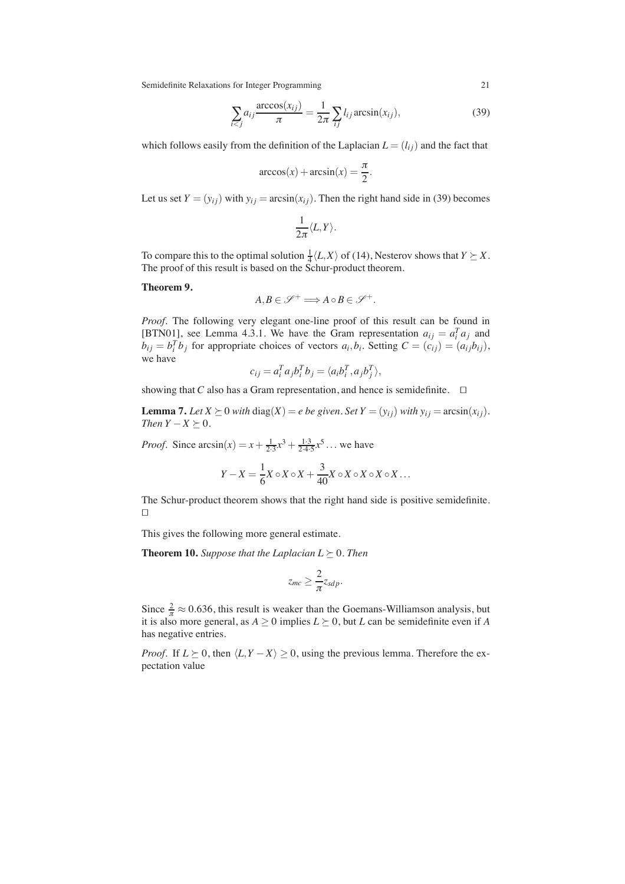$$
\sum_{i < j} a_{ij} \frac{\arccos(x_{ij})}{\pi} = \frac{1}{2\pi} \sum_{ij} l_{ij} \arcsin(x_{ij}),\tag{39}
$$

which follows easily from the definition of the Laplacian  $L = (l_{ij})$  and the fact that

$$
\arccos(x) + \arcsin(x) = \frac{\pi}{2}.
$$

Let us set  $Y = (y_{ij})$  with  $y_{ij} = \arcsin(x_{ij})$ . Then the right hand side in (39) becomes

$$
\frac{1}{2\pi}\langle L,Y\rangle.
$$

To compare this to the optimal solution  $\frac{1}{4} \langle L, X \rangle$  of (14), Nesterov shows that  $Y \succeq X$ . The proof of this result is based on the Schur-product theorem.

**Theorem 9.**

$$
A, B \in \mathscr{S}^+ \Longrightarrow A \circ B \in \mathscr{S}^+.
$$

*Proof.* The following very elegant one-line proof of this result can be found in [BTN01], see Lemma 4.3.1. We have the Gram representation  $a_{ij} = a_i^T a_j$  and  $b_{ij} = b_i^T b_j$  for appropriate choices of vectors  $a_i, b_i$ . Setting  $C = (c_{ij}) = (a_{ij}b_{ij}),$ we have

$$
c_{ij} = a_i^T a_j b_i^T b_j = \langle a_i b_i^T, a_j b_j^T \rangle,
$$

showing that *C* also has a Gram representation, and hence is semidefinite.  $\square$ 

**Lemma 7.** Let  $X \succeq 0$  *with* diag( $X$ ) = *e be given. Set*  $Y = (y_{ij})$  *with*  $y_{ij} = \arcsin(x_{ij})$ *. Then*  $Y - X \succeq 0$ *.* 

*Proof.* Since  $\arcsin(x) = x + \frac{1}{2 \cdot 3} x^3 + \frac{1 \cdot 3}{2 \cdot 4 \cdot 5} x^5 \dots$  we have

$$
Y - X = \frac{1}{6}X \circ X \circ X + \frac{3}{40}X \circ X \circ X \circ X \circ X \dots
$$

The Schur-product theorem shows that the right hand side is positive semidefinite.  $\Box$ 

This gives the following more general estimate.

**Theorem 10.** *Suppose that the Laplacian L*  $\succeq$  0*. Then* 

$$
z_{mc} \geq \frac{2}{\pi} z_{sdp}.
$$

Since  $\frac{2}{\pi} \approx 0.636$ , this result is weaker than the Goemans-Williamson analysis, but it is also more general, as  $A \ge 0$  implies  $L \succeq 0$ , but *L* can be semidefinite even if *A* has negative entries.

*Proof.* If  $L \succeq 0$ , then  $\langle L, Y - X \rangle \geq 0$ , using the previous lemma. Therefore the expectation value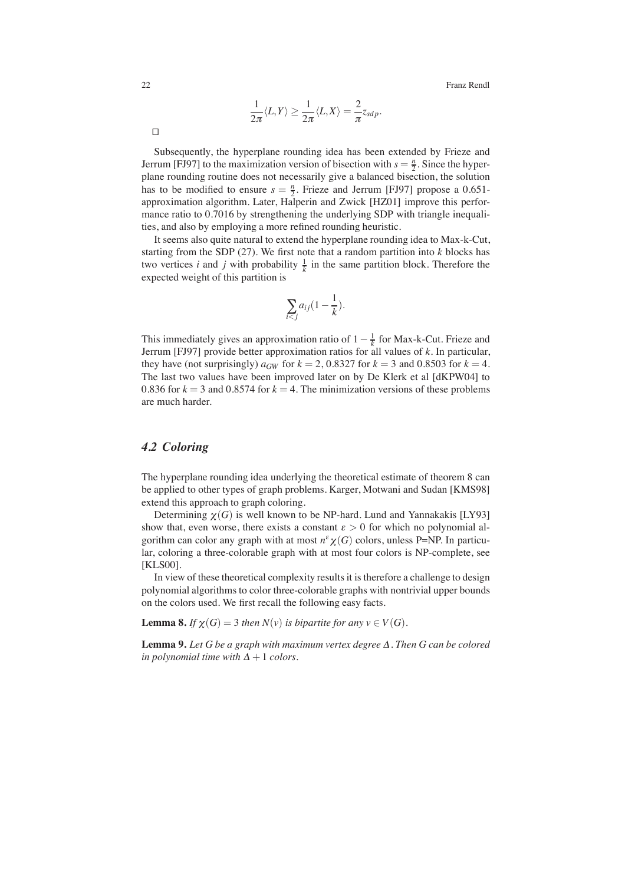$$
\frac{1}{2\pi}\langle L,Y\rangle \geq \frac{1}{2\pi}\langle L,X\rangle = \frac{2}{\pi}z_{sdp}.
$$

Subsequently, the hyperplane rounding idea has been extended by Frieze and Jerrum [FJ97] to the maximization version of bisection with  $s = \frac{n}{2}$ . Since the hyperplane rounding routine does not necessarily give a balanced bisection, the solution has to be modified to ensure  $s = \frac{n}{2}$ . Frieze and Jerrum [FJ97] propose a 0.651approximation algorithm. Later, Halperin and Zwick [HZ01] improve this performance ratio to 0.7016 by strengthening the underlying SDP with triangle inequalities, and also by employing a more refined rounding heuristic.

It seems also quite natural to extend the hyperplane rounding idea to Max-k-Cut, starting from the SDP (27). We first note that a random partition into *k* blocks has two vertices *i* and *j* with probability  $\frac{1}{k}$  in the same partition block. Therefore the expected weight of this partition is

$$
\sum_{i < j} a_{ij} (1 - \frac{1}{k}).
$$

This immediately gives an approximation ratio of  $1 - \frac{1}{k}$  for Max-k-Cut. Frieze and Jerrum [FJ97] provide better approximation ratios for all values of *k*. In particular, they have (not surprisingly)  $a_{GW}$  for  $k = 2, 0.8327$  for  $k = 3$  and 0.8503 for  $k = 4$ . The last two values have been improved later on by De Klerk et al [dKPW04] to 0.836 for  $k = 3$  and 0.8574 for  $k = 4$ . The minimization versions of these problems are much harder.

# *4.2 Coloring*

The hyperplane rounding idea underlying the theoretical estimate of theorem 8 can be applied to other types of graph problems. Karger, Motwani and Sudan [KMS98] extend this approach to graph coloring.

Determining  $\chi(G)$  is well known to be NP-hard. Lund and Yannakakis [LY93] show that, even worse, there exists a constant  $\varepsilon > 0$  for which no polynomial algorithm can color any graph with at most  $n^{\varepsilon} \chi(G)$  colors, unless P=NP. In particular, coloring a three-colorable graph with at most four colors is NP-complete, see [KLS00].

In view of these theoretical complexity results it is therefore a challenge to design polynomial algorithms to color three-colorable graphs with nontrivial upper bounds on the colors used. We first recall the following easy facts.

**Lemma 8.** *If*  $\chi(G) = 3$  *then*  $N(v)$  *is bipartite for any*  $v \in V(G)$ *.* 

**Lemma 9.** *Let G be a graph with maximum vertex degree* <sup>Δ</sup>*. Then G can be colored in polynomial time with*  $\Delta + 1$  *colors.* 

 $\Box$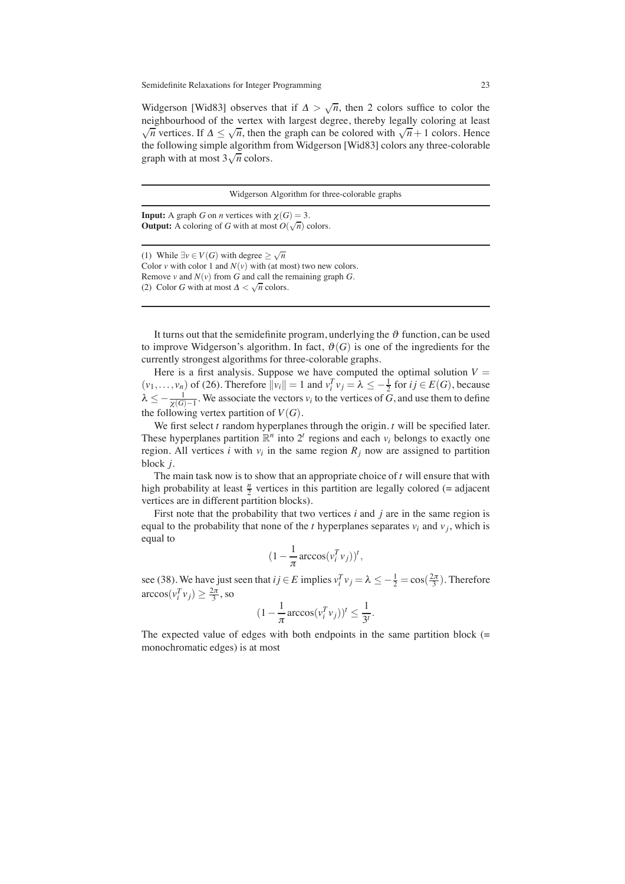Widgerson [Wid83] observes that if  $\Delta > \sqrt{n}$ , then 2 colors suffice to color the neighbourhood of the vertex with largest degree, thereby legally coloring at least  $\sqrt{n}$  vertices. If  $\Delta \leq \sqrt{n}$ , then the graph can be colored with  $\sqrt{n} + 1$  colors. Hence the following simple algorithm from Widgerson [Wid83] colors any three-colorable graph with at most  $3\sqrt{n}$  colors.

Widgerson Algorithm for three-colorable graphs

**Input:** A graph *G* on *n* vertices with  $\gamma(G) = 3$ . **Output:** A coloring of *G* with at most  $O(\sqrt{n})$  colors.

(1) While  $∃v ∈ V(G)$  with degree  $≥ √n$ Color *v* with color 1 and  $N(v)$  with (at most) two new colors. Remove *v* and  $N(v)$  from  $G$  and call the remaining graph  $G$ . (2) Color *G* with at most  $\Delta < \sqrt{n}$  colors.

It turns out that the semidefinite program, underlying the  $\vartheta$  function, can be used to improve Widgerson's algorithm. In fact,  $\vartheta(G)$  is one of the ingredients for the currently strongest algorithms for three-colorable graphs.

Here is a first analysis. Suppose we have computed the optimal solution  $V =$  $(v_1,...,v_n)$  of (26). Therefore  $||v_i|| = 1$  and  $v_i^T v_j = \lambda \le -\frac{1}{2}$  for  $ij \in E(G)$ , because  $\lambda \leq -\frac{1}{\chi(G)-1}$ . We associate the vectors  $v_i$  to the vertices of *G*, and use them to define the following vertex partition of  $V(G)$ .

We first select *t* random hyperplanes through the origin. *t* will be specified later. These hyperplanes partition  $\mathbb{R}^n$  into  $2^t$  regions and each  $v_i$  belongs to exactly one region. All vertices *i* with  $v_i$  in the same region  $R_j$  now are assigned to partition block *j*.

The main task now is to show that an appropriate choice of *t* will ensure that with high probability at least  $\frac{n}{2}$  vertices in this partition are legally colored (= adjacent vertices are in different partition blocks).

First note that the probability that two vertices *i* and *j* are in the same region is equal to the probability that none of the *t* hyperplanes separates  $v_i$  and  $v_j$ , which is equal to

$$
(1 - \frac{1}{\pi}\arccos(v_i^T v_j))^t,
$$

see (38). We have just seen that  $ij \in E$  implies  $v_i^T v_j = \lambda \le -\frac{1}{2} = \cos(\frac{2\pi}{3})$ . Therefore  $\arccos(v_i^T v_j) \geq \frac{2\pi}{3}$ , so

$$
(1 - \frac{1}{\pi}\arccos(v_i^T v_j))^t \le \frac{1}{3^t}.
$$

The expected value of edges with both endpoints in the same partition block (= monochromatic edges) is at most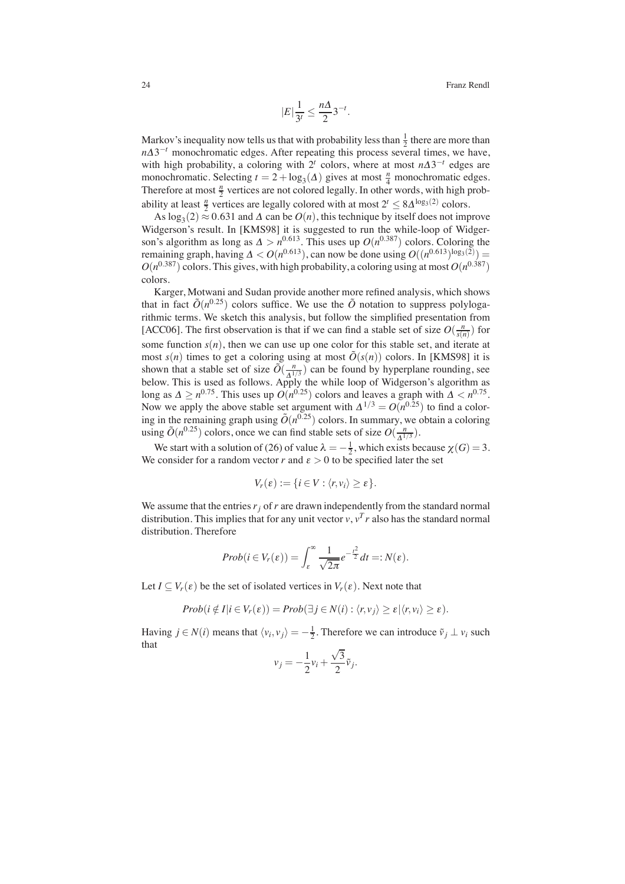$$
|E|\frac{1}{3^t} \le \frac{n\Delta}{2}3^{-t}.
$$

Markov's inequality now tells us that with probability less than  $\frac{1}{2}$  there are more than  $n\Delta3^{-t}$  monochromatic edges. After repeating this process several times, we have, with high probability, a coloring with  $2^t$  colors, where at most  $n\Delta 3^{-t}$  edges are monochromatic. Selecting  $t = 2 + \log_3(\Delta)$  gives at most  $\frac{n}{4}$  monochromatic edges. Therefore at most  $\frac{n}{2}$  vertices are not colored legally. In other words, with high probability at least  $\frac{n}{2}$  vertices are legally colored with at most  $2^t \leq 8\Delta^{\log_3(2)}$  colors.

As  $log_3(2) \approx 0.631$  and  $\Delta$  can be  $O(n)$ , this technique by itself does not improve Widgerson's result. In [KMS98] it is suggested to run the while-loop of Widgerson's algorithm as long as  $\Delta > n^{0.613}$ . This uses up  $O(n^{0.387})$  colors. Coloring the remaining graph, having  $\Delta < O(n^{0.613})$ , can now be done using  $O((n^{0.613})^{\log_3(2)})$  =  $O(n^{0.387})$  colors. This gives, with high probability, a coloring using at most  $O(n^{0.387})$ colors.

Karger, Motwani and Sudan provide another more refined analysis, which shows that in fact  $\tilde{O}(n^{0.25})$  colors suffice. We use the  $\tilde{O}$  notation to suppress polylogarithmic terms. We sketch this analysis, but follow the simplified presentation from [ACC06]. The first observation is that if we can find a stable set of size  $O(\frac{n}{s(n)})$  for some function  $s(n)$ , then we can use up one color for this stable set, and iterate at most  $s(n)$  times to get a coloring using at most  $\tilde{O}(s(n))$  colors. In [KMS98] it is shown that a stable set of size  $\tilde{O}(\frac{n}{\Lambda^{1/3}})$  can be found by hyperplane rounding, see below. This is used as follows. Apply the while loop of Widgerson's algorithm as long as  $\Delta \ge n^{0.75}$ . This uses up  $O(n^{0.25})$  colors and leaves a graph with  $\Delta < n^{0.75}$ . Now we apply the above stable set argument with  $\Delta^{1/3} = O(n^{0.25})$  to find a coloring in the remaining graph using  $\tilde{O}(n^{0.25})$  colors. In summary, we obtain a coloring using  $\tilde{O}(n^{0.25})$  colors, once we can find stable sets of size  $O(\frac{n}{\Lambda^{1/3}})$ .

We start with a solution of (26) of value  $\lambda = -\frac{1}{2}$ , which exists because  $\chi(G) = 3$ . We consider for a random vector *r* and  $\varepsilon > 0$  to be specified later the set

$$
V_r(\varepsilon) := \{i \in V : \langle r, v_i \rangle \geq \varepsilon\}.
$$

We assume that the entries  $r_i$  of  $r$  are drawn independently from the standard normal distribution. This implies that for any unit vector  $v$ ,  $v<sup>T</sup> r$  also has the standard normal distribution. Therefore

$$
Prob(i \in V_r(\varepsilon)) = \int_{\varepsilon}^{\infty} \frac{1}{\sqrt{2\pi}} e^{-\frac{t^2}{2}} dt =: N(\varepsilon).
$$

Let  $I \subseteq V_r(\varepsilon)$  be the set of isolated vertices in  $V_r(\varepsilon)$ . Next note that

$$
Prob(i \notin I | i \in V_r(\varepsilon)) = Prob(\exists j \in N(i) : \langle r, v_j \rangle \ge \varepsilon | \langle r, v_i \rangle \ge \varepsilon).
$$

Having  $j \in N(i)$  means that  $\langle v_i, v_j \rangle = -\frac{1}{2}$ . Therefore we can introduce  $\tilde{v}_j \perp v_i$  such that

$$
v_j = -\frac{1}{2}v_i + \frac{\sqrt{3}}{2}\tilde{v}_j.
$$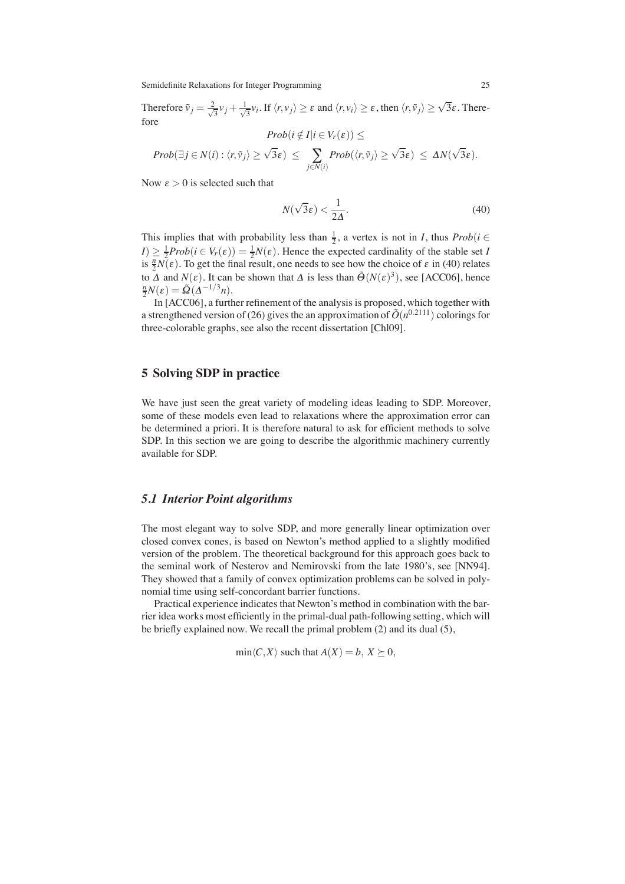Therefore  $\tilde{v}_j = \frac{2}{\sqrt{3}} v_j + \frac{1}{\sqrt{3}} v_i$ . If  $\langle r, v_j \rangle \ge \varepsilon$  and  $\langle r, v_i \rangle \ge \varepsilon$ , then  $\langle r, \tilde{v}_j \rangle \ge \sqrt{3}\varepsilon$ . Therefore  $Prob(i \notin I | i \in V_r(\varepsilon))$  <

$$
Prob(\exists j \in N(i) : \langle r, \tilde{v}_j \rangle \geq \sqrt{3}\varepsilon) \leq \sum_{j \in N(i)} Prob(\langle r, \tilde{v}_j \rangle \geq \sqrt{3}\varepsilon) \leq \Delta N(\sqrt{3}\varepsilon).
$$

Now  $\epsilon > 0$  is selected such that

$$
N(\sqrt{3}\varepsilon) < \frac{1}{2\Delta}.\tag{40}
$$

This implies that with probability less than  $\frac{1}{2}$ , a vertex is not in *I*, thus  $Prob(i \in$  $I \geq \frac{1}{2} Prob(i \in V_r(\varepsilon)) = \frac{1}{2}N(\varepsilon)$ . Hence the expected cardinality of the stable set *I* is  $\frac{n}{2}N(\varepsilon)$ . To get the final result, one needs to see how the choice of  $\varepsilon$  in (40) relates to  $\Delta$  and  $N(\varepsilon)$ . It can be shown that  $\Delta$  is less than  $\tilde{\Theta}(N(\varepsilon)^3)$ , see [ACC06], hence  $\frac{n}{2}N(\varepsilon) = \tilde{\Omega}(\Delta^{-1/3}n).$ 

In [ACC06], a further refinement of the analysis is proposed, which together with a strengthened version of (26) gives the an approximation of  $\tilde{O}(n^{0.2111})$  colorings for three-colorable graphs, see also the recent dissertation [Chl09].

# **5 Solving SDP in practice**

We have just seen the great variety of modeling ideas leading to SDP. Moreover, some of these models even lead to relaxations where the approximation error can be determined a priori. It is therefore natural to ask for efficient methods to solve SDP. In this section we are going to describe the algorithmic machinery currently available for SDP.

# *5.1 Interior Point algorithms*

The most elegant way to solve SDP, and more generally linear optimization over closed convex cones, is based on Newton's method applied to a slightly modified version of the problem. The theoretical background for this approach goes back to the seminal work of Nesterov and Nemirovski from the late 1980's, see [NN94]. They showed that a family of convex optimization problems can be solved in polynomial time using self-concordant barrier functions.

Practical experience indicates that Newton's method in combination with the barrier idea works most efficiently in the primal-dual path-following setting, which will be briefly explained now. We recall the primal problem (2) and its dual (5),

 $\min\langle C, X \rangle$  such that  $A(X) = b, X \succeq 0$ ,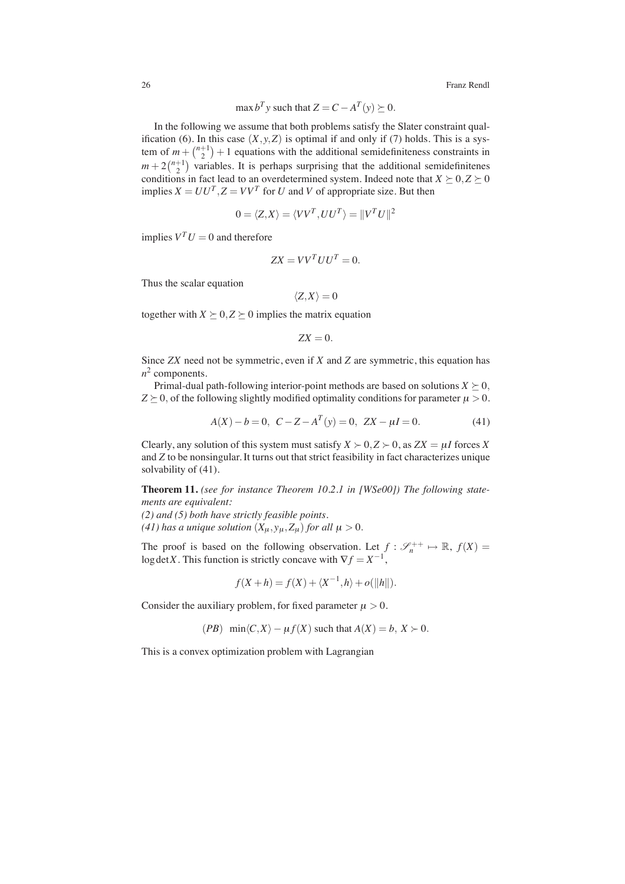$$
\max b^T y \text{ such that } Z = C - A^T(y) \succeq 0.
$$

In the following we assume that both problems satisfy the Slater constraint qualification (6). In this case  $(X, y, Z)$  is optimal if and only if (7) holds. This is a system of  $m + \binom{n+1}{2} + 1$  equations with the additional semidefiniteness constraints in  $m + 2\binom{n+1}{2}$  variables. It is perhaps surprising that the additional semidefinitenes conditions in fact lead to an overdetermined system. Indeed note that  $X \geq 0, Z \geq 0$ implies  $X = UU^T$ ,  $Z = VV^T$  for *U* and *V* of appropriate size. But then

$$
0 = \langle Z, X \rangle = \langle VV^T, UU^T \rangle = ||V^T U||^2
$$

implies  $V^T U = 0$  and therefore

$$
ZX = VV^T UU^T = 0.
$$

Thus the scalar equation

$$
\langle Z, X \rangle = 0
$$

together with  $X \succeq 0, Z \succeq 0$  implies the matrix equation

$$
ZX=0.
$$

Since *ZX* need not be symmetric, even if *X* and *Z* are symmetric, this equation has  $n^2$  components.

Primal-dual path-following interior-point methods are based on solutions  $X \geq 0$ ,  $Z \succeq 0$ , of the following slightly modified optimality conditions for parameter  $\mu > 0$ .

$$
A(X) - b = 0, \ C - Z - A^{T}(y) = 0, \ ZX - \mu I = 0.
$$
 (41)

Clearly, any solution of this system must satisfy  $X \succ 0$ ,  $Z \succ 0$ , as  $ZX = \mu I$  forces X and *Z* to be nonsingular. It turns out that strict feasibility in fact characterizes unique solvability of (41).

**Theorem 11.** *(see for instance Theorem 10.2.1 in [WSe00]) The following statements are equivalent:*

*(2) and (5) both have strictly feasible points.*

*(41) has a unique solution*  $(X_u, y_u, Z_u)$  *for all*  $\mu > 0$ .

The proof is based on the following observation. Let  $f: \mathcal{S}_n^{++} \mapsto \mathbb{R}$ ,  $f(X) =$ log det X. This function is strictly concave with  $\nabla f = X^{-1}$ ,

$$
f(X+h) = f(X) + \langle X^{-1}, h \rangle + o(||h||).
$$

Consider the auxiliary problem, for fixed parameter  $\mu > 0$ .

$$
(PB) \ \min\langle C, X \rangle - \mu f(X) \ \text{such that} \ A(X) = b, \ X \succ 0.
$$

This is a convex optimization problem with Lagrangian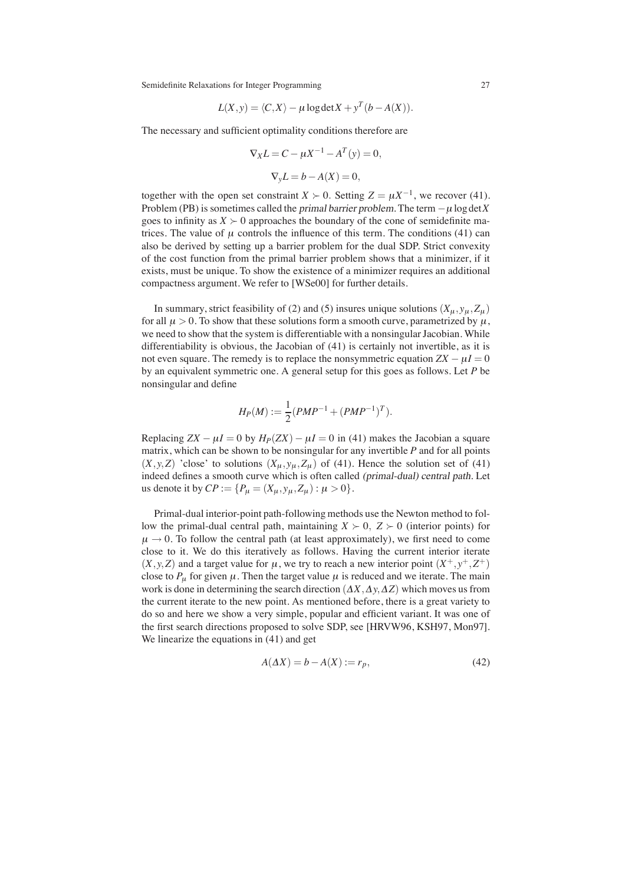$$
L(X, y) = \langle C, X \rangle - \mu \log \det X + y^T (b - A(X)).
$$

The necessary and sufficient optimality conditions therefore are

$$
\nabla_X L = C - \mu X^{-1} - A^T(y) = 0,
$$
  

$$
\nabla_y L = b - A(X) = 0,
$$

together with the open set constraint *X*  $\succ$  0. Setting *Z* =  $\mu X^{-1}$ , we recover (41). Problem (PB) is sometimes called the *primal barrier problem*. The term  $-\mu \log \det X$ goes to infinity as  $X \succ 0$  approaches the boundary of the cone of semidefinite matrices. The value of  $\mu$  controls the influence of this term. The conditions (41) can also be derived by setting up a barrier problem for the dual SDP. Strict convexity of the cost function from the primal barrier problem shows that a minimizer, if it exists, must be unique. To show the existence of a minimizer requires an additional compactness argument. We refer to [WSe00] for further details.

In summary, strict feasibility of (2) and (5) insures unique solutions  $(X_{\mu}, y_{\mu}, Z_{\mu})$ for all  $\mu > 0$ . To show that these solutions form a smooth curve, parametrized by  $\mu$ , we need to show that the system is differentiable with a nonsingular Jacobian. While differentiability is obvious, the Jacobian of (41) is certainly not invertible, as it is not even square. The remedy is to replace the nonsymmetric equation  $ZX - \mu I = 0$ by an equivalent symmetric one. A general setup for this goes as follows. Let *P* be nonsingular and define

$$
H_P(M) := \frac{1}{2}(PMP^{-1} + (PMP^{-1})^T).
$$

Replacing  $ZX - \mu I = 0$  by  $H_P(ZX) - \mu I = 0$  in (41) makes the Jacobian a square matrix, which can be shown to be nonsingular for any invertible *P* and for all points  $(X, y, Z)$  'close' to solutions  $(X_\mu, y_\mu, Z_\mu)$  of (41). Hence the solution set of (41) indeed defines a smooth curve which is often called (primal-dual) central path. Let us denote it by  $CP := \{P_{\mu} = (X_{\mu}, y_{\mu}, Z_{\mu}) : \mu > 0\}.$ 

Primal-dual interior-point path-following methods use the Newton method to follow the primal-dual central path, maintaining  $X \succ 0$ ,  $Z \succ 0$  (interior points) for  $\mu \rightarrow 0$ . To follow the central path (at least approximately), we first need to come close to it. We do this iteratively as follows. Having the current interior iterate  $(X, y, Z)$  and a target value for  $\mu$ , we try to reach a new interior point  $(X^+, y^+, Z^+)$ close to  $P_{\mu}$  for given  $\mu$ . Then the target value  $\mu$  is reduced and we iterate. The main work is done in determining the search direction  $(\Delta X, \Delta y, \Delta Z)$  which moves us from the current iterate to the new point. As mentioned before, there is a great variety to do so and here we show a very simple, popular and efficient variant. It was one of the first search directions proposed to solve SDP, see [HRVW96, KSH97, Mon97]. We linearize the equations in (41) and get

$$
A(\Delta X) = b - A(X) := r_p,\tag{42}
$$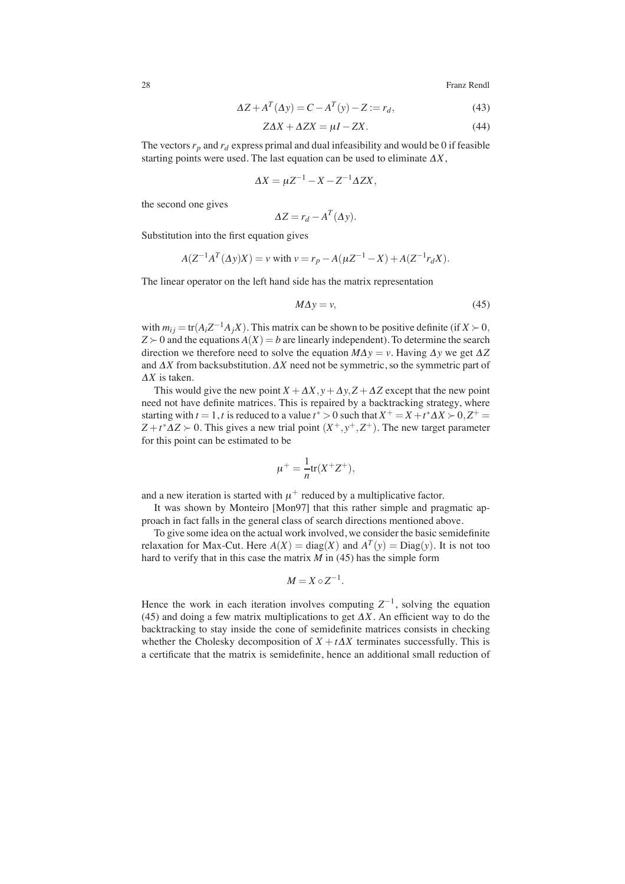$$
\Delta Z + A^T(\Delta y) = C - A^T(y) - Z := r_d,
$$
\n(43)

$$
Z\Delta X + \Delta ZX = \mu I - ZX.
$$
\n(44)

The vectors  $r_p$  and  $r_d$  express primal and dual infeasibility and would be 0 if feasible starting points were used. The last equation can be used to eliminate <sup>Δ</sup>*X*,

$$
\Delta X = \mu Z^{-1} - X - Z^{-1} \Delta Z X,
$$

the second one gives

$$
\Delta Z = r_d - A^T(\Delta y).
$$

Substitution into the first equation gives

$$
A(Z^{-1}A^{T}(\Delta y)X) = v \text{ with } v = r_p - A(\mu Z^{-1} - X) + A(Z^{-1}r_dX).
$$

The linear operator on the left hand side has the matrix representation

$$
M\Delta y = v,\tag{45}
$$

with  $m_{ij} = \text{tr}(A_i Z^{-1} A_j X)$ . This matrix can be shown to be positive definite (if  $X \succ 0$ ,  $Z \succ 0$  and the equations  $A(X) = b$  are linearly independent). To determine the search direction we therefore need to solve the equation  $M\Delta y = v$ . Having  $\Delta y$  we get  $\Delta Z$ and  $\Delta X$  from backsubstitution.  $\Delta X$  need not be symmetric, so the symmetric part of <sup>Δ</sup>*X* is taken.

This would give the new point  $X + \Delta X$ ,  $y + \Delta y$ ,  $Z + \Delta Z$  except that the new point need not have definite matrices. This is repaired by a backtracking strategy, where starting with  $t = 1$ ,  $t$  is reduced to a value  $t^* > 0$  such that  $X^+ = X + t^* \Delta X > 0$ ,  $Z^+ =$  $Z + t^* \Delta Z > 0$ . This gives a new trial point  $(X^+, y^+, Z^+)$ . The new target parameter for this point can be estimated to be

$$
\mu^+ = \frac{1}{n} \text{tr}(X^+ Z^+),
$$

and a new iteration is started with  $\mu^+$  reduced by a multiplicative factor.

It was shown by Monteiro [Mon97] that this rather simple and pragmatic approach in fact falls in the general class of search directions mentioned above.

To give some idea on the actual work involved, we consider the basic semidefinite relaxation for Max-Cut. Here  $A(X) = \text{diag}(X)$  and  $A^T(y) = \text{Diag}(y)$ . It is not too hard to verify that in this case the matrix *M* in (45) has the simple form

$$
M = X \circ Z^{-1}.
$$

Hence the work in each iteration involves computing  $Z^{-1}$ , solving the equation (45) and doing a few matrix multiplications to get  $\Delta X$ . An efficient way to do the backtracking to stay inside the cone of semidefinite matrices consists in checking whether the Cholesky decomposition of  $X + t\Delta X$  terminates successfully. This is a certificate that the matrix is semidefinite, hence an additional small reduction of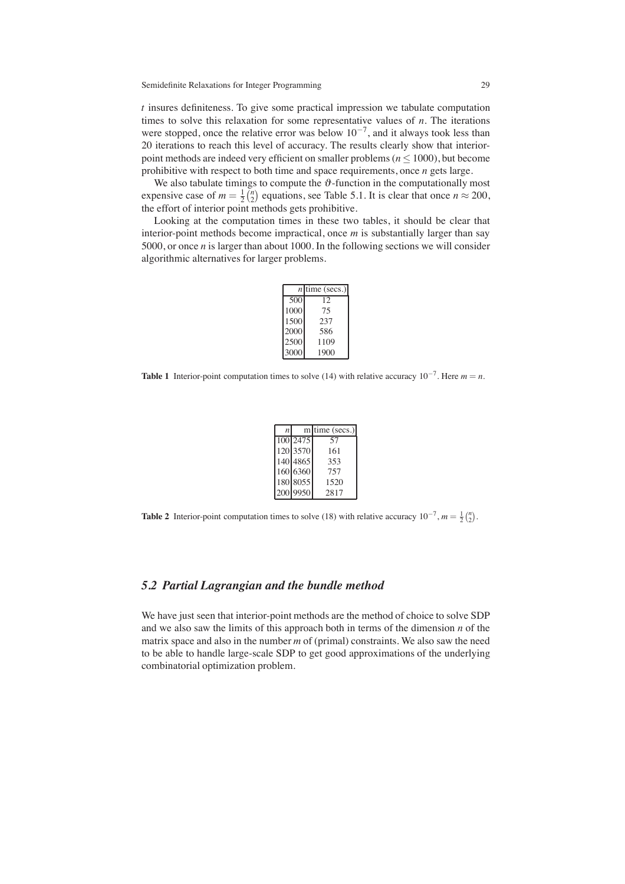*t* insures definiteness. To give some practical impression we tabulate computation times to solve this relaxation for some representative values of *n*. The iterations were stopped, once the relative error was below  $10^{-7}$ , and it always took less than 20 iterations to reach this level of accuracy. The results clearly show that interiorpoint methods are indeed very efficient on smaller problems ( $n \leq 1000$ ), but become prohibitive with respect to both time and space requirements, once *n* gets large.

We also tabulate timings to compute the  $\vartheta$ -function in the computationally most expensive case of  $m = \frac{1}{2} {n \choose 2}$  equations, see Table 5.1. It is clear that once  $n \approx 200$ , the effort of interior point methods gets prohibitive.

Looking at the computation times in these two tables, it should be clear that interior-point methods become impractical, once *m* is substantially larger than say 5000, or once *n* is larger than about 1000. In the following sections we will consider algorithmic alternatives for larger problems.

|      | $n$ time (secs.) |
|------|------------------|
| 500  | 12               |
| 1000 | 75               |
| 1500 | 237              |
| 2000 | 586              |
| 2500 | 1109             |
| 3000 | 1900             |

**Table 1** Interior-point computation times to solve (14) with relative accuracy  $10^{-7}$ . Here  $m = n$ .

| n |          | m time (secs.) |
|---|----------|----------------|
|   | 100 2475 | 57             |
|   | 120 3570 | 161            |
|   | 140 4865 | 353            |
|   | 160 6360 | 757            |
|   | 180 8055 | 1520           |
|   | 200 9950 | 2817           |

**Table 2** Interior-point computation times to solve (18) with relative accuracy  $10^{-7}$ ,  $m = \frac{1}{2} {n \choose 2}$ .

# *5.2 Partial Lagrangian and the bundle method*

We have just seen that interior-point methods are the method of choice to solve SDP and we also saw the limits of this approach both in terms of the dimension *n* of the matrix space and also in the number *m* of (primal) constraints. We also saw the need to be able to handle large-scale SDP to get good approximations of the underlying combinatorial optimization problem.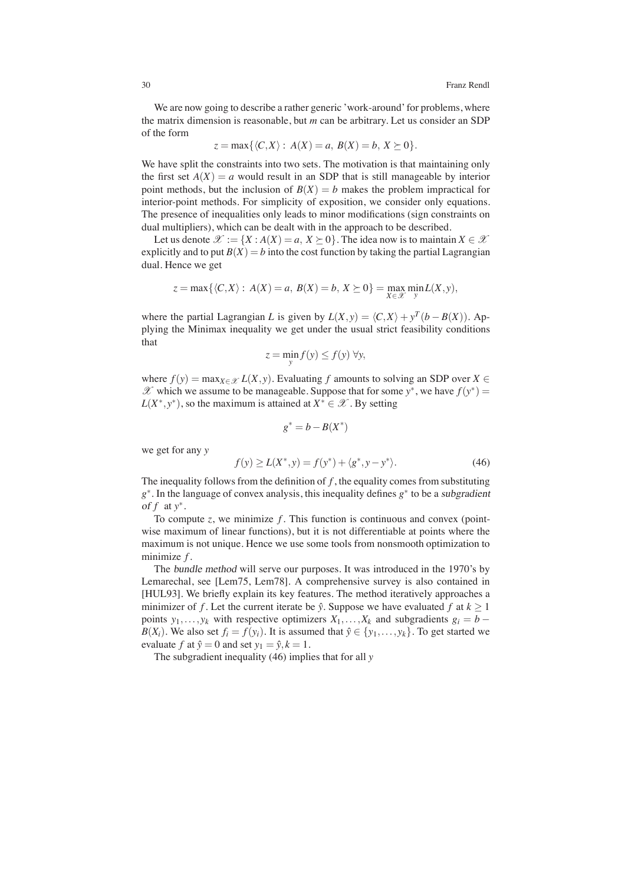We are now going to describe a rather generic 'work-around' for problems, where the matrix dimension is reasonable, but *m* can be arbitrary. Let us consider an SDP of the form

$$
z = \max\{\langle C, X \rangle : A(X) = a, B(X) = b, X \succeq 0\}.
$$

We have split the constraints into two sets. The motivation is that maintaining only the first set  $A(X) = a$  would result in an SDP that is still manageable by interior point methods, but the inclusion of  $B(X) = b$  makes the problem impractical for interior-point methods. For simplicity of exposition, we consider only equations. The presence of inequalities only leads to minor modifications (sign constraints on dual multipliers), which can be dealt with in the approach to be described.

Let us denote  $\mathcal{X} := \{X : A(X) = a, X \succeq 0\}$ . The idea now is to maintain  $X \in \mathcal{X}$ explicitly and to put  $B(X) = b$  into the cost function by taking the partial Lagrangian dual. Hence we get

$$
z = \max\{\langle C, X \rangle : A(X) = a, B(X) = b, X \succeq 0\} = \max_{X \in \mathcal{X}} \min_{y} L(X, y),
$$

where the partial Lagrangian *L* is given by  $L(X, y) = \langle C, X \rangle + y^T (b - B(X))$ . Applying the Minimax inequality we get under the usual strict feasibility conditions that

$$
z = \min_{y} f(y) \le f(y) \,\forall y,
$$

where  $f(y) = \max_{X \in \mathcal{X}} L(X, y)$ . Evaluating f amounts to solving an SDP over  $X \in$  $\mathscr X$  which we assume to be manageable. Suppose that for some  $y^*$ , we have  $f(y^*) =$  $L(X^*, y^*)$ , so the maximum is attained at  $X^* \in \mathcal{X}$ . By setting

$$
g^* = b - B(X^*)
$$

we get for any *y*

$$
f(y) \ge L(X^*, y) = f(y^*) + \langle g^*, y - y^* \rangle.
$$
 (46)

The inequality follows from the definition of  $f$ , the equality comes from substituting *g*∗. In the language of convex analysis, this inequality defines *g*∗ to be a subgradient of *f* at *y*∗.

To compute  $z$ , we minimize  $f$ . This function is continuous and convex (pointwise maximum of linear functions), but it is not differentiable at points where the maximum is not unique. Hence we use some tools from nonsmooth optimization to minimize *f* .

The bundle method will serve our purposes. It was introduced in the 1970's by Lemarechal, see [Lem75, Lem78]. A comprehensive survey is also contained in [HUL93]. We briefly explain its key features. The method iteratively approaches a minimizer of *f*. Let the current iterate be  $\hat{y}$ . Suppose we have evaluated *f* at  $k \ge 1$ points  $y_1, \ldots, y_k$  with respective optimizers  $X_1, \ldots, X_k$  and subgradients  $g_i = b -$ *B*(*X<sub>i</sub>*). We also set  $f_i = f(y_i)$ . It is assumed that  $\hat{y} \in \{y_1, \ldots, y_k\}$ . To get started we evaluate *f* at  $\hat{y} = 0$  and set  $y_1 = \hat{y}, k = 1$ .

The subgradient inequality (46) implies that for all *y*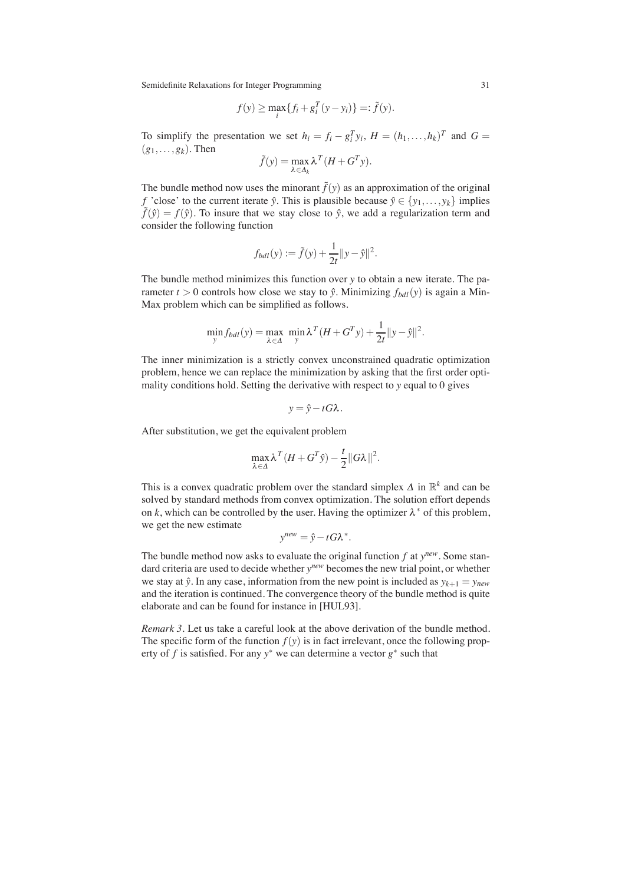$$
f(y) \ge \max_i \{ f_i + g_i^T (y - y_i) \} =: \tilde{f}(y).
$$

To simplify the presentation we set  $h_i = f_i - g_i^T y_i$ ,  $H = (h_1, \dots, h_k)^T$  and  $G =$  $(g_1, \ldots, g_k)$ . Then

$$
\tilde{f}(y) = \max_{\lambda \in \Delta_k} \lambda^T (H + G^T y).
$$

The bundle method now uses the minorant  $\tilde{f}(y)$  as an approximation of the original  $f$  'close' to the current iterate  $\hat{y}$ . This is plausible because  $\hat{y} \in \{y_1, \ldots, y_k\}$  implies  $\tilde{f}(\hat{y}) = f(\hat{y})$ . To insure that we stay close to  $\hat{y}$ , we add a regularization term and consider the following function

$$
f_{bdl}(y) := \tilde{f}(y) + \frac{1}{2t} ||y - \hat{y}||^2.
$$

The bundle method minimizes this function over *y* to obtain a new iterate. The parameter  $t > 0$  controls how close we stay to  $\hat{y}$ . Minimizing  $f_{bdl}(y)$  is again a Min-Max problem which can be simplified as follows.

$$
\min_{y} f_{bdl}(y) = \max_{\lambda \in \Delta} \ \min_{y} \lambda^{T} (H + G^{T} y) + \frac{1}{2t} ||y - \hat{y}||^{2}.
$$

The inner minimization is a strictly convex unconstrained quadratic optimization problem, hence we can replace the minimization by asking that the first order optimality conditions hold. Setting the derivative with respect to *y* equal to 0 gives

$$
y = \hat{y} - tG\lambda.
$$

After substitution, we get the equivalent problem

$$
\max_{\lambda \in \Delta} \lambda^T (H + G^T \hat{y}) - \frac{t}{2} ||G\lambda||^2.
$$

This is a convex quadratic problem over the standard simplex  $\Delta$  in  $\mathbb{R}^k$  and can be solved by standard methods from convex optimization. The solution effort depends on *k*, which can be controlled by the user. Having the optimizer  $\lambda^*$  of this problem, we get the new estimate

$$
y^{new} = \hat{y} - tG\lambda^*.
$$

The bundle method now asks to evaluate the original function *f* at *ynew*. Some standard criteria are used to decide whether *ynew* becomes the new trial point, or whether we stay at  $\hat{y}$ . In any case, information from the new point is included as  $y_{k+1} = y_{new}$ and the iteration is continued. The convergence theory of the bundle method is quite elaborate and can be found for instance in [HUL93].

*Remark 3.* Let us take a careful look at the above derivation of the bundle method. The specific form of the function  $f(y)$  is in fact irrelevant, once the following property of *f* is satisfied. For any  $y^*$  we can determine a vector  $g^*$  such that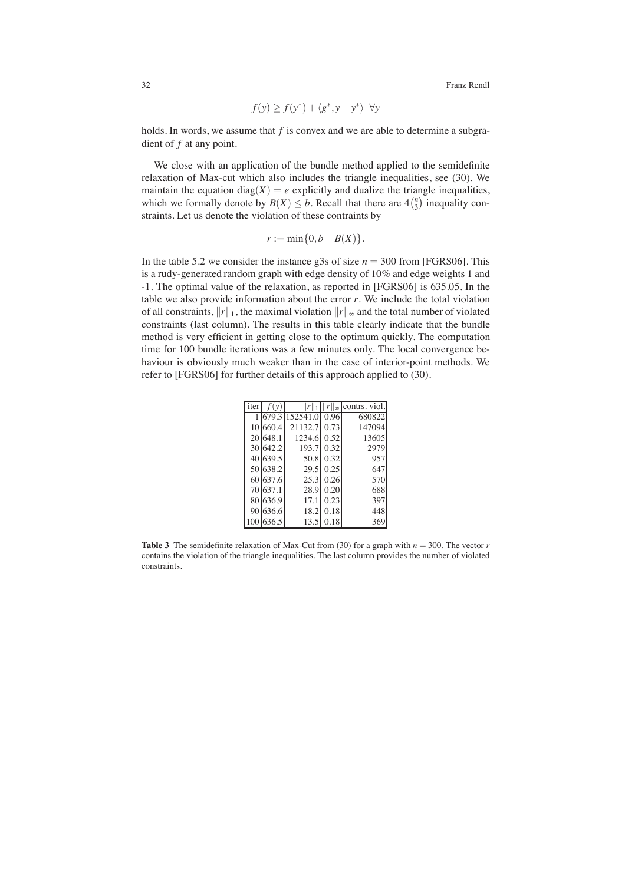$$
f(y) \ge f(y^*) + \langle g^*, y - y^* \rangle \quad \forall y
$$

holds. In words, we assume that *f* is convex and we are able to determine a subgradient of *f* at any point.

We close with an application of the bundle method applied to the semidefinite relaxation of Max-cut which also includes the triangle inequalities, see (30). We maintain the equation diag( $X$ ) = *e* explicitly and dualize the triangle inequalities, which we formally denote by  $B(X) \leq b$ . Recall that there are  $4{n \choose 3}$  inequality constraints. Let us denote the violation of these contraints by

$$
r:=\min\{0,b-B(X)\}.
$$

In the table 5.2 we consider the instance g3s of size  $n = 300$  from [FGRS06]. This is a rudy-generated random graph with edge density of 10% and edge weights 1 and -1. The optimal value of the relaxation, as reported in [FGRS06] is 635.05. In the table we also provide information about the error *r*. We include the total violation of all constraints,  $||r||_1$ , the maximal violation  $||r||_{\infty}$  and the total number of violated constraints (last column). The results in this table clearly indicate that the bundle method is very efficient in getting close to the optimum quickly. The computation time for 100 bundle iterations was a few minutes only. The local convergence behaviour is obviously much weaker than in the case of interior-point methods. We refer to [FGRS06] for further details of this approach applied to (30).

| iter | f(y)      |               |      | $  r  _{\infty}$ contrs. viol. |
|------|-----------|---------------|------|--------------------------------|
|      | 1 679.3   | 152541.0 0.96 |      | 680822                         |
|      | 10 660.4  | 21132.7       | 0.73 | 147094                         |
|      | 20 648.1  | 1234.6        | 0.52 | 13605                          |
|      | 30 642.2  | 193.7         | 0.32 | 2979                           |
|      | 40 639.5  | 50.8          | 0.32 | 957                            |
|      | 50 638.2  | 29.5          | 0.25 | 647                            |
|      | 60 637.6  | 25.3          | 0.26 | 570                            |
|      | 70 637.1  | 28.9          | 0.20 | 688                            |
|      | 80 636.9  | 17.1          | 0.23 | 397                            |
|      | 90 636.6  | 18.2          | 0.18 | 448                            |
|      | 100 636.5 | 13.5          | 0.18 | 369                            |

**Table 3** The semidefinite relaxation of Max-Cut from (30) for a graph with  $n = 300$ . The vector *r* contains the violation of the triangle inequalities. The last column provides the number of violated constraints.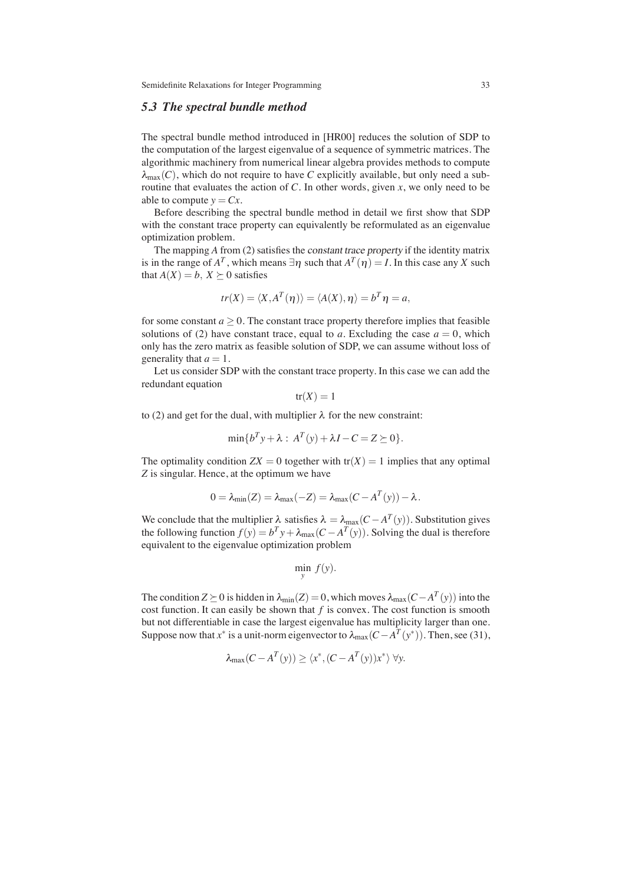# *5.3 The spectral bundle method*

The spectral bundle method introduced in [HR00] reduces the solution of SDP to the computation of the largest eigenvalue of a sequence of symmetric matrices. The algorithmic machinery from numerical linear algebra provides methods to compute  $\lambda_{\text{max}}(C)$ , which do not require to have C explicitly available, but only need a subroutine that evaluates the action of  $C$ . In other words, given  $x$ , we only need to be able to compute  $y = Cx$ .

Before describing the spectral bundle method in detail we first show that SDP with the constant trace property can equivalently be reformulated as an eigenvalue optimization problem.

The mapping *A* from (2) satisfies the constant trace property if the identity matrix is in the range of  $A^T$ , which means  $\exists \eta$  such that  $A^T(\eta) = I$ . In this case any *X* such that  $A(X) = b$ ,  $X \succeq 0$  satisfies

$$
tr(X) = \langle X, A^T(\eta) \rangle = \langle A(X), \eta \rangle = b^T \eta = a,
$$

for some constant  $a > 0$ . The constant trace property therefore implies that feasible solutions of (2) have constant trace, equal to *a*. Excluding the case  $a = 0$ , which only has the zero matrix as feasible solution of SDP, we can assume without loss of generality that  $a = 1$ .

Let us consider SDP with the constant trace property. In this case we can add the redundant equation

$$
tr(X) = 1
$$

to (2) and get for the dual, with multiplier  $\lambda$  for the new constraint:

$$
\min\{b^T y + \lambda : A^T(y) + \lambda I - C = Z \succeq 0\}.
$$

The optimality condition  $ZX = 0$  together with  $tr(X) = 1$  implies that any optimal *Z* is singular. Hence, at the optimum we have

$$
0 = \lambda_{\min}(Z) = \lambda_{\max}(-Z) = \lambda_{\max}(C - A^T(y)) - \lambda.
$$

We conclude that the multiplier  $\lambda$  satisfies  $\lambda = \lambda_{\text{max}}(C - A^T(y))$ . Substitution gives the following function  $f(y) = b^T y + \lambda_{\text{max}}(C - A^T(y))$ . Solving the dual is therefore equivalent to the eigenvalue optimization problem

$$
\min_{y} f(y).
$$

The condition *Z*  $\succeq$  0 is hidden in  $\lambda_{\min}(Z) = 0$ , which moves  $\lambda_{\max}(C - A^T(y))$  into the cost function. It can easily be shown that *f* is convex. The cost function is smooth but not differentiable in case the largest eigenvalue has multiplicity larger than one. Suppose now that *x*<sup>∗</sup> is a unit-norm eigenvector to  $\lambda_{\max}(C - A^T(y^*))$ . Then, see (31),

$$
\lambda_{\max}(C - A^T(y)) \ge \langle x^*, (C - A^T(y))x^* \rangle \ \forall y.
$$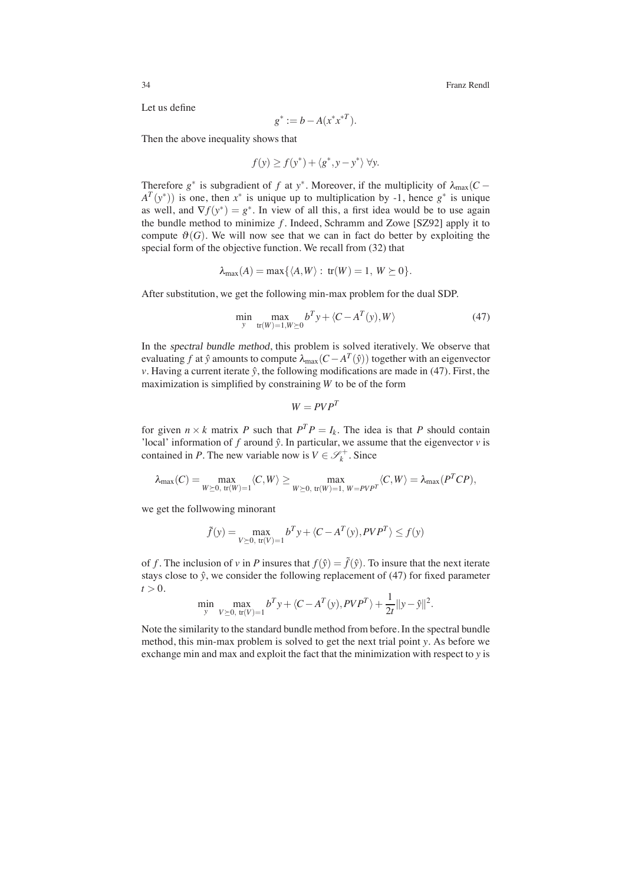Let us define

$$
g^* := b - A(x^*x^{*T}).
$$

Then the above inequality shows that

$$
f(y) \ge f(y^*) + \langle g^*, y - y^* \rangle \,\forall y.
$$

Therefore  $g^*$  is subgradient of *f* at *y*<sup>∗</sup>. Moreover, if the multiplicity of  $\lambda_{\text{max}}(C A^T(y^*)$ ) is one, then  $x^*$  is unique up to multiplication by -1, hence  $g^*$  is unique as well, and  $\nabla f(y^*) = g^*$ . In view of all this, a first idea would be to use again the bundle method to minimize *f* . Indeed, Schramm and Zowe [SZ92] apply it to compute  $\mathcal{O}(G)$ . We will now see that we can in fact do better by exploiting the special form of the objective function. We recall from (32) that

$$
\lambda_{\max}(A)=\max\{\langle A,W\rangle:\,\text{tr}(W)=1,\,W\succeq 0\}.
$$

After substitution, we get the following min-max problem for the dual SDP.

$$
\min_{y} \max_{\text{tr}(W)=1, W \succeq 0} b^T y + \langle C - A^T(y), W \rangle \tag{47}
$$

In the spectral bundle method, this problem is solved iteratively. We observe that evaluating *f* at  $\hat{y}$  amounts to compute  $\lambda_{\text{max}}(C - A^T(\hat{y}))$  together with an eigenvector *v*. Having a current iterate  $\hat{y}$ , the following modifications are made in (47). First, the maximization is simplified by constraining *W* to be of the form

$$
W = PVP^T
$$

for given  $n \times k$  matrix *P* such that  $P^T P = I_k$ . The idea is that *P* should contain 'local' information of  $f$  around  $\hat{y}$ . In particular, we assume that the eigenvector  $v$  is contained in *P*. The new variable now is  $V \in \mathcal{S}_k^+$ . Since

$$
\lambda_{\max}(C)=\max_{W\succeq 0,\ {\rm tr}(W)=1}\langle C,W\rangle\geq \max_{W\succeq 0,\ {\rm tr}(W)=1,\ W=PVP^T}\langle C,W\rangle=\lambda_{\max}(P^TCP),
$$

we get the follwowing minorant

$$
\tilde{f}(y) = \max_{V \succeq 0, \text{ tr}(V) = 1} b^T y + \langle C - A^T(y), P V P^T \rangle \le f(y)
$$

of *f*. The inclusion of *v* in *P* insures that  $f(\hat{y}) = \tilde{f}(\hat{y})$ . To insure that the next iterate stays close to  $\hat{y}$ , we consider the following replacement of (47) for fixed parameter  $t > 0$ .

$$
\min_{y} \max_{V \succeq 0, \text{ tr}(V) = 1} b^T y + \langle C - A^T(y), P V P^T \rangle + \frac{1}{2t} ||y - \hat{y}||^2.
$$

Note the similarity to the standard bundle method from before. In the spectral bundle method, this min-max problem is solved to get the next trial point *y*. As before we exchange min and max and exploit the fact that the minimization with respect to *y* is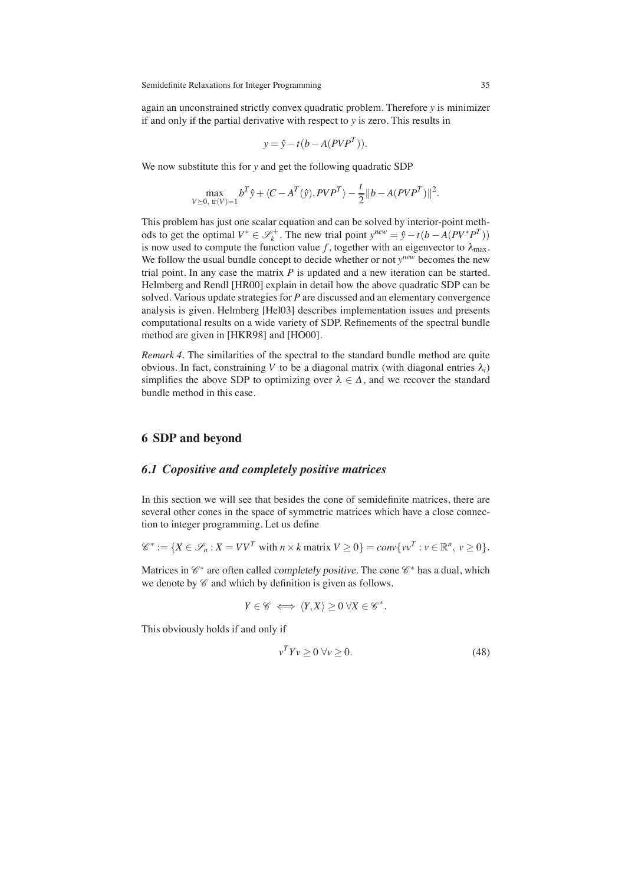again an unconstrained strictly convex quadratic problem. Therefore *y* is minimizer if and only if the partial derivative with respect to *y* is zero. This results in

$$
y = \hat{y} - t(b - A(PVP^{T})).
$$

We now substitute this for *y* and get the following quadratic SDP

$$
\max_{V \succeq 0, \text{ tr}(V) = 1} b^T \hat{y} + \langle C - A^T(\hat{y}), PVP^T \rangle - \frac{t}{2} ||b - A(PVP^T)||^2.
$$

This problem has just one scalar equation and can be solved by interior-point methods to get the optimal  $V^* \in \mathcal{S}_k^+$ . The new trial point  $y^{new} = \hat{y} - t(b - A(PV^*P^T))$ is now used to compute the function value f, together with an eigenvector to  $\lambda_{\text{max}}$ . We follow the usual bundle concept to decide whether or not *ynew* becomes the new trial point. In any case the matrix *P* is updated and a new iteration can be started. Helmberg and Rendl [HR00] explain in detail how the above quadratic SDP can be solved. Various update strategies for *P* are discussed and an elementary convergence analysis is given. Helmberg [Hel03] describes implementation issues and presents computational results on a wide variety of SDP. Refinements of the spectral bundle method are given in [HKR98] and [HO00].

*Remark 4.* The similarities of the spectral to the standard bundle method are quite obvious. In fact, constraining *V* to be a diagonal matrix (with diagonal entries  $\lambda_i$ ) simplifies the above SDP to optimizing over  $\lambda \in \Delta$ , and we recover the standard bundle method in this case.

### **6 SDP and beyond**

# *6.1 Copositive and completely positive matrices*

In this section we will see that besides the cone of semidefinite matrices, there are several other cones in the space of symmetric matrices which have a close connection to integer programming. Let us define

$$
\mathscr{C}^* := \{ X \in \mathscr{S}_n : X = VV^T \text{ with } n \times k \text{ matrix } V \ge 0 \} = conv\{ vv^T : v \in \mathbb{R}^n, v \ge 0 \}.
$$

Matrices in  $\mathscr{C}^*$  are often called completely positive. The cone  $\mathscr{C}^*$  has a dual, which we denote by  $\mathscr C$  and which by definition is given as follows.

$$
Y\in \mathscr{C} \iff \langle Y,X\rangle \geq 0 \; \forall X\in \mathscr{C}^*.
$$

This obviously holds if and only if

$$
v^T Y v \ge 0 \,\forall v \ge 0. \tag{48}
$$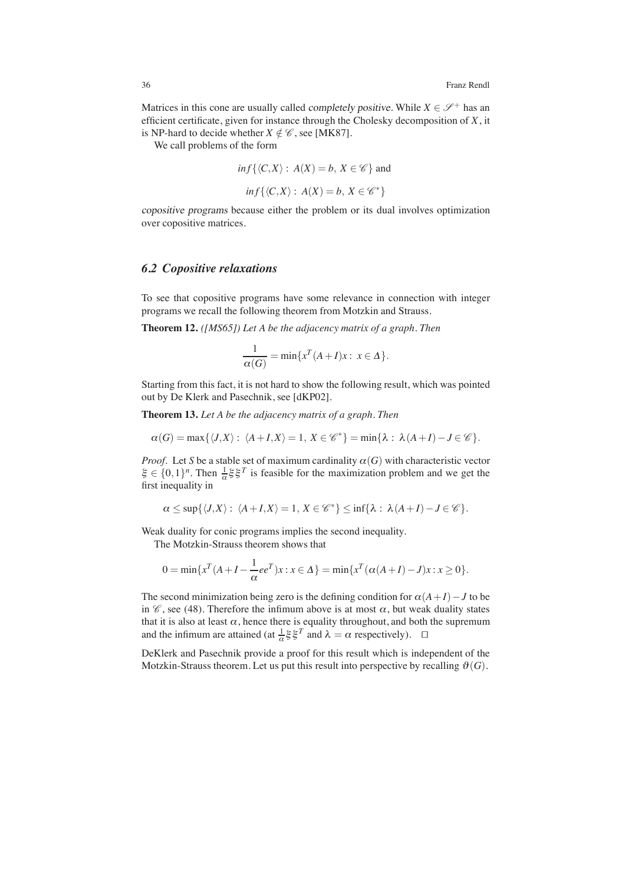Matrices in this cone are usually called *completely positive*. While  $X \in \mathcal{S}^+$  has an efficient certificate, given for instance through the Cholesky decomposition of *X*, it is NP-hard to decide whether  $X \notin \mathcal{C}$ , see [MK87].

We call problems of the form

$$
inf\{\langle C, X \rangle : A(X) = b, X \in \mathscr{C}\}\
$$

$$
\inf\{\langle C,X\rangle:\,A(X)=b,\,X\in\mathscr{C}^*\}
$$

copositive programs because either the problem or its dual involves optimization over copositive matrices.

#### *6.2 Copositive relaxations*

To see that copositive programs have some relevance in connection with integer programs we recall the following theorem from Motzkin and Strauss.

**Theorem 12.** *([MS65]) Let A be the adjacency matrix of a graph. Then*

$$
\frac{1}{\alpha(G)} = \min\{x^T(A + I)x : x \in \Delta\}.
$$

Starting from this fact, it is not hard to show the following result, which was pointed out by De Klerk and Pasechnik, see [dKP02].

**Theorem 13.** *Let A be the adjacency matrix of a graph. Then*

$$
\alpha(G) = \max\{\langle J, X\rangle: \ \langle A + I, X\rangle = 1, \ X \in \mathscr{C}^*\} = \min\{\lambda: \ \lambda(A + I) - J \in \mathscr{C}\}.
$$

*Proof.* Let *S* be a stable set of maximum cardinality  $\alpha(G)$  with characteristic vector  $\xi \in \{0,1\}^n$ . Then  $\frac{1}{\alpha} \xi \xi^T$  is feasible for the maximization problem and we get the first inequality in

$$
\alpha \leq \sup\{\langle J,X\rangle:\ \langle A+I,X\rangle=1,\ X\in\mathscr{C}^*\}\leq \inf\{\lambda:\ \lambda(A+I)-J\in\mathscr{C}\}.
$$

Weak duality for conic programs implies the second inequality.

The Motzkin-Strauss theorem shows that

$$
0=\min\{x^T(A+I-\frac{1}{\alpha}ee^T)x:x\in\Delta\}=\min\{x^T(\alpha(A+I)-J)x:x\geq 0\}.
$$

The second minimization being zero is the defining condition for  $\alpha(A+I)-J$  to be in  $\mathscr{C}$ , see (48). Therefore the infimum above is at most  $\alpha$ , but weak duality states that it is also at least  $\alpha$ , hence there is equality throughout, and both the supremum and the infimum are attained (at  $\frac{1}{\alpha} \xi \xi^{T}$  and  $\lambda = \alpha$  respectively).  $\Box$ 

DeKlerk and Pasechnik provide a proof for this result which is independent of the Motzkin-Strauss theorem. Let us put this result into perspective by recalling  $\vartheta(G)$ .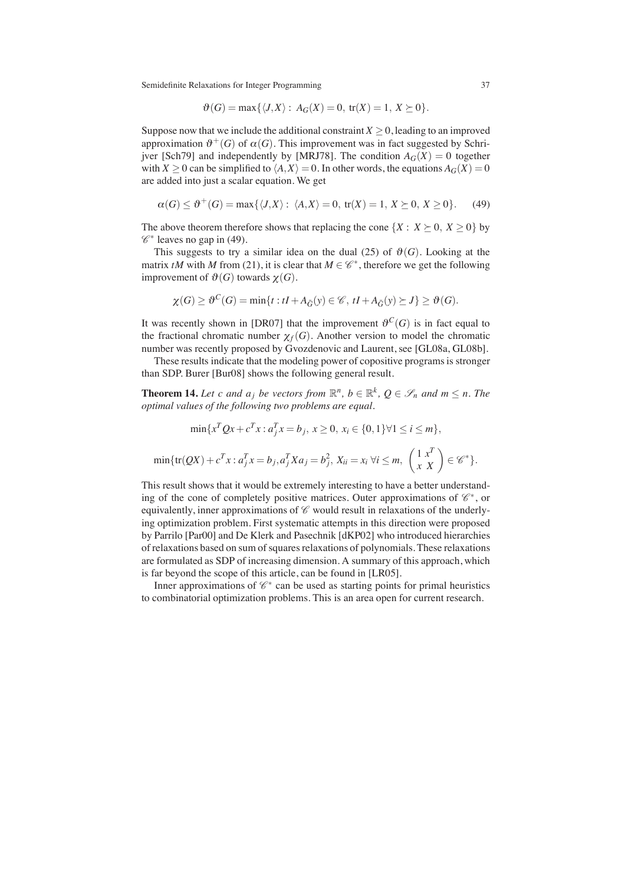$$
\vartheta(G) = \max\{\langle J, X \rangle : A_G(X) = 0, \text{ tr}(X) = 1, X \succeq 0\}.
$$

Suppose now that we include the additional constraint  $X \geq 0$ , leading to an improved approximation  $\theta^+(G)$  of  $\alpha(G)$ . This improvement was in fact suggested by Schrijver [Sch79] and independently by [MRJ78]. The condition  $A_G(X) = 0$  together with  $X \ge 0$  can be simplified to  $\langle A, X \rangle = 0$ . In other words, the equations  $A_G(X) = 0$ are added into just a scalar equation. We get

$$
\alpha(G) \leq \vartheta^+(G) = \max\{\langle J, X \rangle : \langle A, X \rangle = 0, \text{ tr}(X) = 1, X \succeq 0, X \geq 0\}. \tag{49}
$$

The above theorem therefore shows that replacing the cone  $\{X : X \succeq 0, X \ge 0\}$  by  $\mathscr{C}^*$  leaves no gap in (49).

This suggests to try a similar idea on the dual (25) of  $\vartheta(G)$ . Looking at the matrix *tM* with *M* from (21), it is clear that  $M \in \mathcal{C}^*$ , therefore we get the following improvement of  $\mathfrak{G}(G)$  towards  $\chi(G)$ .

$$
\chi(G) \ge \vartheta^C(G) = \min\{t : tI + A_{\bar{G}}(y) \in \mathscr{C}, tI + A_{\bar{G}}(y) \succeq J\} \ge \vartheta(G).
$$

It was recently shown in [DR07] that the improvement  $\theta^C(G)$  is in fact equal to the fractional chromatic number  $\chi_f(G)$ . Another version to model the chromatic number was recently proposed by Gvozdenovic and Laurent, see [GL08a, GL08b].

These results indicate that the modeling power of copositive programs is stronger than SDP. Burer [Bur08] shows the following general result.

**Theorem 14.** Let c and  $a_j$  be vectors from  $\mathbb{R}^n$ ,  $b \in \mathbb{R}^k$ ,  $Q \in \mathcal{S}_n$  and  $m \leq n$ . The *optimal values of the following two problems are equal.*

$$
\min\{x^T Q x + c^T x : a_j^T x = b_j, \ x \ge 0, \ x_i \in \{0, 1\} \forall 1 \le i \le m\},\
$$

$$
\min\{ \text{tr}(QX) + c^T x : a_j^T x = b_j, a_j^T X a_j = b_j^2, \ X_{ii} = x_i \ \forall i \le m, \ \binom{1}{x}^T x = \mathcal{C}^* \}.
$$

This result shows that it would be extremely interesting to have a better understanding of the cone of completely positive matrices. Outer approximations of  $\mathscr{C}^*$ , or equivalently, inner approximations of  $\mathscr C$  would result in relaxations of the underlying optimization problem. First systematic attempts in this direction were proposed by Parrilo [Par00] and De Klerk and Pasechnik [dKP02] who introduced hierarchies of relaxations based on sum of squares relaxations of polynomials. These relaxations are formulated as SDP of increasing dimension. A summary of this approach, which is far beyond the scope of this article, can be found in [LR05].

Inner approximations of  $\mathscr{C}^*$  can be used as starting points for primal heuristics to combinatorial optimization problems. This is an area open for current research.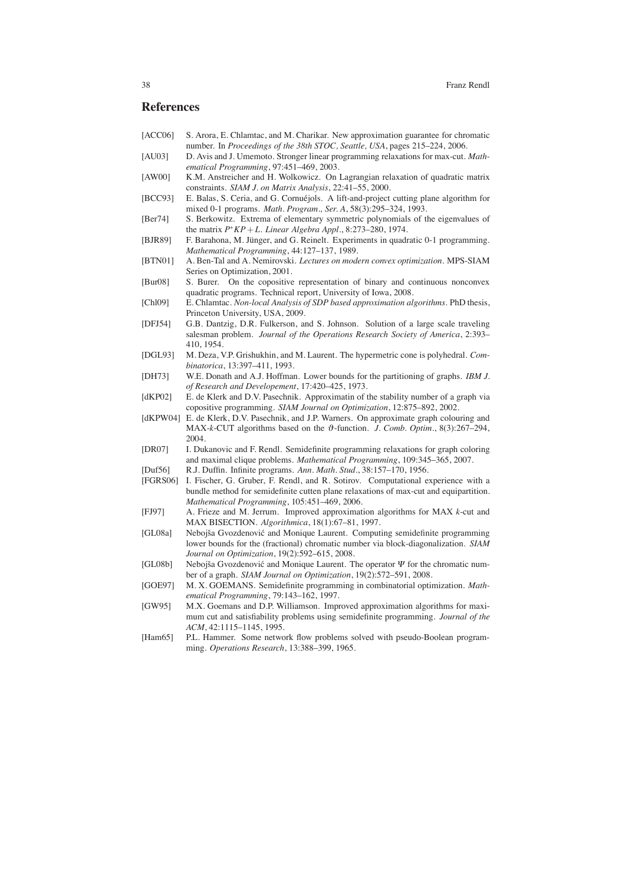#### **References**

- [ACC06] S. Arora, E. Chlamtac, and M. Charikar. New approximation guarantee for chromatic number. In *Proceedings of the 38th STOC, Seattle, USA*, pages 215–224, 2006.
- [AU03] D. Avis and J. Umemoto. Stronger linear programming relaxations for max-cut. *Mathematical Programming*, 97:451–469, 2003.
- [AW00] K.M. Anstreicher and H. Wolkowicz. On Lagrangian relaxation of quadratic matrix constraints. *SIAM J. on Matrix Analysis*, 22:41–55, 2000.
- [BCC93] E. Balas, S. Ceria, and G. Cornuéjols. A lift-and-project cutting plane algorithm for mixed 0-1 programs. *Math. Program., Ser. A*, 58(3):295–324, 1993.
- [Ber74] S. Berkowitz. Extrema of elementary symmetric polynomials of the eigenvalues of the matrix *P*∗*KP*+*L*. *Linear Algebra Appl.*, 8:273–280, 1974.
- [BJR89] F. Barahona, M. Jünger, and G. Reinelt. Experiments in quadratic 0-1 programming. *Mathematical Programming*, 44:127–137, 1989.
- [BTN01] A. Ben-Tal and A. Nemirovski. *Lectures on modern convex optimization*. MPS-SIAM Series on Optimization, 2001.
- [Bur08] S. Burer. On the copositive representation of binary and continuous nonconvex quadratic programs. Technical report, University of Iowa, 2008.
- [Chl09] E. Chlamtac. *Non-local Analysis of SDP based approximation algorithms*. PhD thesis, Princeton University, USA, 2009.
- [DFJ54] G.B. Dantzig, D.R. Fulkerson, and S. Johnson. Solution of a large scale traveling salesman problem. *Journal of the Operations Research Society of America*, 2:393– 410, 1954.
- [DGL93] M. Deza, V.P. Grishukhin, and M. Laurent. The hypermetric cone is polyhedral. *Combinatorica*, 13:397–411, 1993.
- [DH73] W.E. Donath and A.J. Hoffman. Lower bounds for the partitioning of graphs. *IBM J. of Research and Developement*, 17:420–425, 1973.
- [dKP02] E. de Klerk and D.V. Pasechnik. Approximatin of the stability number of a graph via copositive programming. *SIAM Journal on Optimization*, 12:875–892, 2002.
- [dKPW04] E. de Klerk, D.V. Pasechnik, and J.P. Warners. On approximate graph colouring and MAX- $k$ -CUT algorithms based on the  $\vartheta$ -function. *J. Comb. Optim.*, 8(3):267–294, 2004.
- [DR07] I. Dukanovic and F. Rendl. Semidefinite programming relaxations for graph coloring and maximal clique problems. *Mathematical Programming*, 109:345–365, 2007.
- [Duf56] R.J. Duffin. Infinite programs. *Ann. Math. Stud.*, 38:157–170, 1956.
- [FGRS06] I. Fischer, G. Gruber, F. Rendl, and R. Sotirov. Computational experience with a bundle method for semidefinite cutten plane relaxations of max-cut and equipartition. *Mathematical Programming*, 105:451–469, 2006.
- [FJ97] A. Frieze and M. Jerrum. Improved approximation algorithms for MAX *k*-cut and MAX BISECTION. *Algorithmica*, 18(1):67–81, 1997.
- [GL08a] Nebojša Gvozdenović and Monique Laurent. Computing semidefinite programming lower bounds for the (fractional) chromatic number via block-diagonalization. *SIAM Journal on Optimization*, 19(2):592–615, 2008.
- [GL08b] Nebojša Gvozdenović and Monique Laurent. The operator  $\Psi$  for the chromatic number of a graph. *SIAM Journal on Optimization*, 19(2):572–591, 2008.
- [GOE97] M. X. GOEMANS. Semidefinite programming in combinatorial optimization. *Mathematical Programming*, 79:143–162, 1997.
- [GW95] M.X. Goemans and D.P. Williamson. Improved approximation algorithms for maximum cut and satisfiability problems using semidefinite programming. *Journal of the ACM*, 42:1115–1145, 1995.
- [Ham65] P.L. Hammer. Some network flow problems solved with pseudo-Boolean programming. *Operations Research*, 13:388–399, 1965.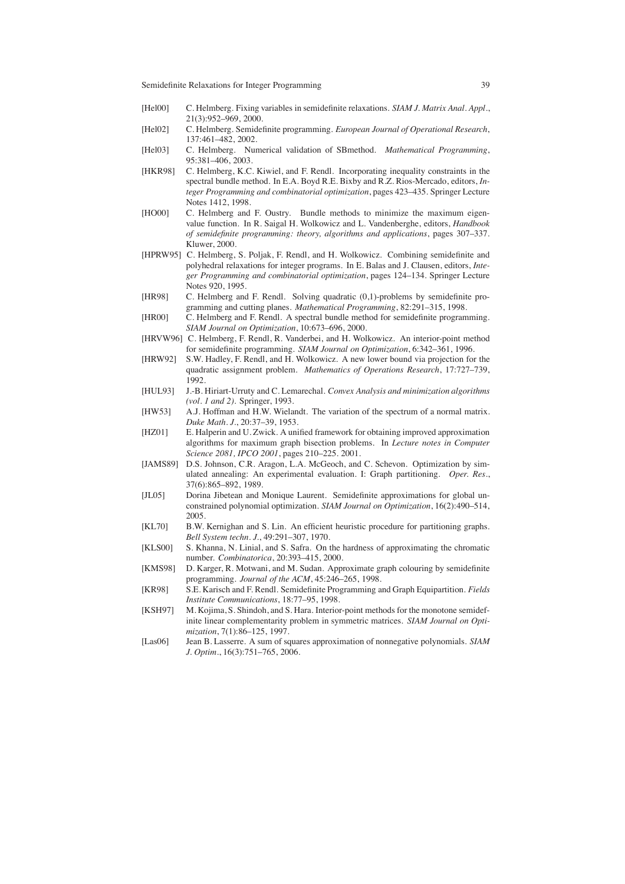- [Hel00] C. Helmberg. Fixing variables in semidefinite relaxations. *SIAM J. Matrix Anal. Appl.*, 21(3):952–969, 2000.
- [Hel02] C. Helmberg. Semidefinite programming. *European Journal of Operational Research*, 137:461–482, 2002.
- [Hel03] C. Helmberg. Numerical validation of SBmethod. *Mathematical Programming*, 95:381–406, 2003.
- [HKR98] C. Helmberg, K.C. Kiwiel, and F. Rendl. Incorporating inequality constraints in the spectral bundle method. In E.A. Boyd R.E. Bixby and R.Z. Rios-Mercado, editors, *Integer Programming and combinatorial optimization*, pages 423–435. Springer Lecture Notes 1412, 1998.
- [HO00] C. Helmberg and F. Oustry. Bundle methods to minimize the maximum eigenvalue function. In R. Saigal H. Wolkowicz and L. Vandenberghe, editors, *Handbook of semidefinite programming: theory, algorithms and applications*, pages 307–337. Kluwer, 2000.
- [HPRW95] C. Helmberg, S. Poljak, F. Rendl, and H. Wolkowicz. Combining semidefinite and polyhedral relaxations for integer programs. In E. Balas and J. Clausen, editors, *Integer Programming and combinatorial optimization*, pages 124–134. Springer Lecture Notes 920, 1995.
- [HR98] C. Helmberg and F. Rendl. Solving quadratic (0,1)-problems by semidefinite programming and cutting planes. *Mathematical Programming*, 82:291–315, 1998.
- [HR00] C. Helmberg and F. Rendl. A spectral bundle method for semidefinite programming. *SIAM Journal on Optimization*, 10:673–696, 2000.
- [HRVW96] C. Helmberg, F. Rendl, R. Vanderbei, and H. Wolkowicz. An interior-point method for semidefinite programming. *SIAM Journal on Optimization*, 6:342–361, 1996.
- [HRW92] S.W. Hadley, F. Rendl, and H. Wolkowicz. A new lower bound via projection for the quadratic assignment problem. *Mathematics of Operations Research*, 17:727–739, 1992.
- [HUL93] J.-B. Hiriart-Urruty and C. Lemarechal. *Convex Analysis and minimization algorithms (vol. 1 and 2)*. Springer, 1993.
- [HW53] A.J. Hoffman and H.W. Wielandt. The variation of the spectrum of a normal matrix. *Duke Math. J.*, 20:37–39, 1953.
- [HZ01] E. Halperin and U. Zwick. A unified framework for obtaining improved approximation algorithms for maximum graph bisection problems. In *Lecture notes in Computer Science 2081, IPCO 2001*, pages 210–225. 2001.
- [JAMS89] D.S. Johnson, C.R. Aragon, L.A. McGeoch, and C. Schevon. Optimization by simulated annealing: An experimental evaluation. I: Graph partitioning. *Oper. Res.*, 37(6):865–892, 1989.
- [JL05] Dorina Jibetean and Monique Laurent. Semidefinite approximations for global unconstrained polynomial optimization. *SIAM Journal on Optimization*, 16(2):490–514, 2005.
- [KL70] B.W. Kernighan and S. Lin. An efficient heuristic procedure for partitioning graphs. *Bell System techn. J.*, 49:291–307, 1970.
- [KLS00] S. Khanna, N. Linial, and S. Safra. On the hardness of approximating the chromatic number. *Combinatorica*, 20:393–415, 2000.
- [KMS98] D. Karger, R. Motwani, and M. Sudan. Approximate graph colouring by semidefinite programming. *Journal of the ACM*, 45:246–265, 1998.
- [KR98] S.E. Karisch and F. Rendl. Semidefinite Programming and Graph Equipartition. *Fields Institute Communications*, 18:77–95, 1998.
- [KSH97] M. Kojima, S. Shindoh, and S. Hara. Interior-point methods for the monotone semidefinite linear complementarity problem in symmetric matrices. *SIAM Journal on Optimization*, 7(1):86–125, 1997.
- [Las06] Jean B. Lasserre. A sum of squares approximation of nonnegative polynomials. *SIAM J. Optim.*, 16(3):751–765, 2006.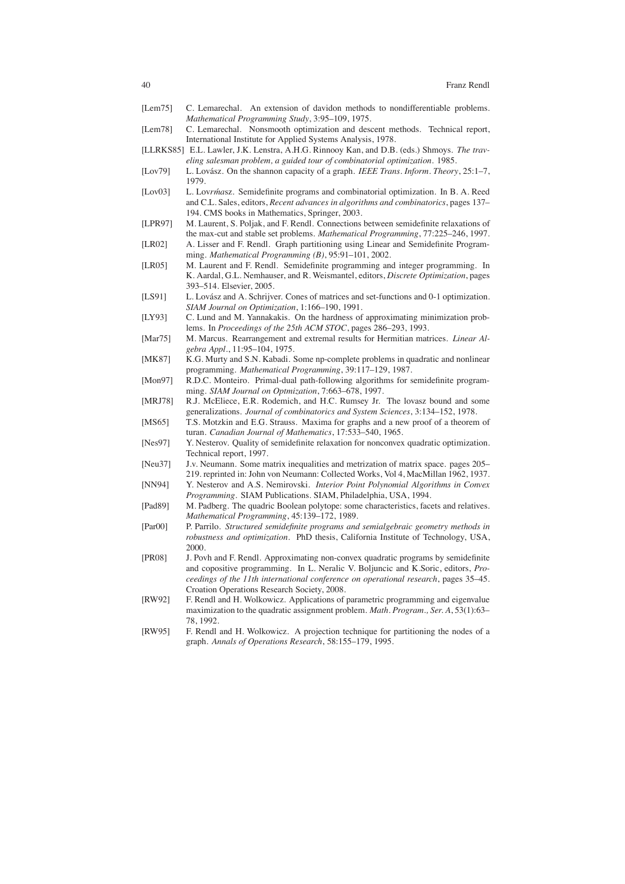- [Lem75] C. Lemarechal. An extension of davidon methods to nondifferentiable problems. *Mathematical Programming Study*, 3:95–109, 1975.
- [Lem78] C. Lemarechal. Nonsmooth optimization and descent methods. Technical report, International Institute for Applied Systems Analysis, 1978.

[LLRKS85] E.L. Lawler, J.K. Lenstra, A.H.G. Rinnooy Kan, and D.B. (eds.) Shmoys. *The traveling salesman problem, a guided tour of combinatorial optimization*. 1985.

- [Lov79] L. Lovász. On the shannon capacity of a graph. *IEEE Trans. Inform. Theory*, 25:1–7, 1979.
- [Lov03] L. Lov*rmasz.* Semidefinite programs and combinatorial optimization. In B. A. Reed and C.L. Sales, editors, *Recent advances in algorithms and combinatorics*, pages 137– 194. CMS books in Mathematics, Springer, 2003.
- [LPR97] M. Laurent, S. Poljak, and F. Rendl. Connections between semidefinite relaxations of the max-cut and stable set problems. *Mathematical Programming*, 77:225–246, 1997.
- [LR02] A. Lisser and F. Rendl. Graph partitioning using Linear and Semidefinite Programming. *Mathematical Programming (B)*, 95:91–101, 2002.
- [LR05] M. Laurent and F. Rendl. Semidefinite programming and integer programming. In K. Aardal, G.L. Nemhauser, and R. Weismantel, editors, *Discrete Optimization*, pages 393–514. Elsevier, 2005.
- [LS91] L. Lovász and A. Schrijver. Cones of matrices and set-functions and 0-1 optimization. *SIAM Journal on Optimization*, 1:166–190, 1991.
- [LY93] C. Lund and M. Yannakakis. On the hardness of approximating minimization problems. In *Proceedings of the 25th ACM STOC*, pages 286–293, 1993.
- [Mar75] M. Marcus. Rearrangement and extremal results for Hermitian matrices. *Linear Algebra Appl.*, 11:95–104, 1975.
- [MK87] K.G. Murty and S.N. Kabadi. Some np-complete problems in quadratic and nonlinear programming. *Mathematical Programming*, 39:117–129, 1987.
- [Mon97] R.D.C. Monteiro. Primal-dual path-following algorithms for semidefinite programming. *SIAM Journal on Optmization*, 7:663–678, 1997.
- [MRJ78] R.J. McEliece, E.R. Rodemich, and H.C. Rumsey Jr. The lovasz bound and some generalizations. *Journal of combinatorics and System Sciences*, 3:134–152, 1978.
- [MS65] T.S. Motzkin and E.G. Strauss. Maxima for graphs and a new proof of a theorem of turan. *Canadian Journal of Mathematics*, 17:533–540, 1965.
- [Nes97] Y. Nesterov. Quality of semidefinite relaxation for nonconvex quadratic optimization. Technical report, 1997.
- [Neu37] J.v. Neumann. Some matrix inequalities and metrization of matrix space. pages 205– 219. reprinted in: John von Neumann: Collected Works, Vol 4, MacMillan 1962, 1937.
- [NN94] Y. Nesterov and A.S. Nemirovski. *Interior Point Polynomial Algorithms in Convex Programming*. SIAM Publications. SIAM, Philadelphia, USA, 1994.
- [Pad89] M. Padberg. The quadric Boolean polytope: some characteristics, facets and relatives. *Mathematical Programming*, 45:139–172, 1989.
- [Par00] P. Parrilo. *Structured semidefinite programs and semialgebraic geometry methods in robustness and optimization*. PhD thesis, California Institute of Technology, USA, 2000.
- [PR08] J. Povh and F. Rendl. Approximating non-convex quadratic programs by semidefinite and copositive programming. In L. Neralic V. Boljuncic and K.Soric, editors, *Proceedings of the 11th international conference on operational research*, pages 35–45. Croation Operations Research Society, 2008.
- [RW92] F. Rendl and H. Wolkowicz. Applications of parametric programming and eigenvalue maximization to the quadratic assignment problem. *Math. Program., Ser. A*, 53(1):63– 78, 1992.
- [RW95] F. Rendl and H. Wolkowicz. A projection technique for partitioning the nodes of a graph. *Annals of Operations Research*, 58:155–179, 1995.